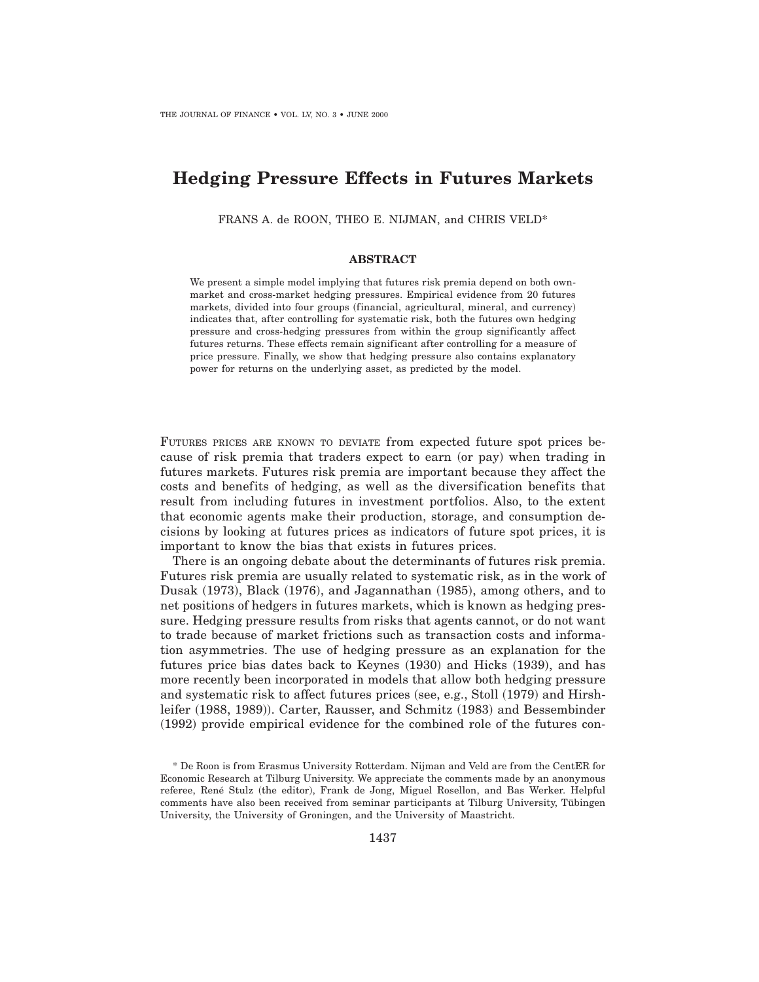# **Hedging Pressure Effects in Futures Markets**

FRANS A. de ROON, THEO E. NIJMAN, and CHRIS VELD\*

#### **ABSTRACT**

We present a simple model implying that futures risk premia depend on both ownmarket and cross-market hedging pressures. Empirical evidence from 20 futures markets, divided into four groups (financial, agricultural, mineral, and currency) indicates that, after controlling for systematic risk, both the futures own hedging pressure and cross-hedging pressures from within the group significantly affect futures returns. These effects remain significant after controlling for a measure of price pressure. Finally, we show that hedging pressure also contains explanatory power for returns on the underlying asset, as predicted by the model.

FUTURES PRICES ARE KNOWN TO DEVIATE from expected future spot prices because of risk premia that traders expect to earn (or pay) when trading in futures markets. Futures risk premia are important because they affect the costs and benefits of hedging, as well as the diversification benefits that result from including futures in investment portfolios. Also, to the extent that economic agents make their production, storage, and consumption decisions by looking at futures prices as indicators of future spot prices, it is important to know the bias that exists in futures prices.

There is an ongoing debate about the determinants of futures risk premia. Futures risk premia are usually related to systematic risk, as in the work of Dusak (1973), Black (1976), and Jagannathan (1985), among others, and to net positions of hedgers in futures markets, which is known as hedging pressure. Hedging pressure results from risks that agents cannot, or do not want to trade because of market frictions such as transaction costs and information asymmetries. The use of hedging pressure as an explanation for the futures price bias dates back to Keynes (1930) and Hicks (1939), and has more recently been incorporated in models that allow both hedging pressure and systematic risk to affect futures prices (see, e.g., Stoll  $(1979)$  and Hirshleifer (1988, 1989)). Carter, Rausser, and Schmitz (1983) and Bessembinder  $(1992)$  provide empirical evidence for the combined role of the futures con-

<sup>\*</sup> De Roon is from Erasmus University Rotterdam. Nijman and Veld are from the CentER for Economic Research at Tilburg University. We appreciate the comments made by an anonymous referee, René Stulz (the editor), Frank de Jong, Miguel Rosellon, and Bas Werker. Helpful comments have also been received from seminar participants at Tilburg University, Tübingen University, the University of Groningen, and the University of Maastricht.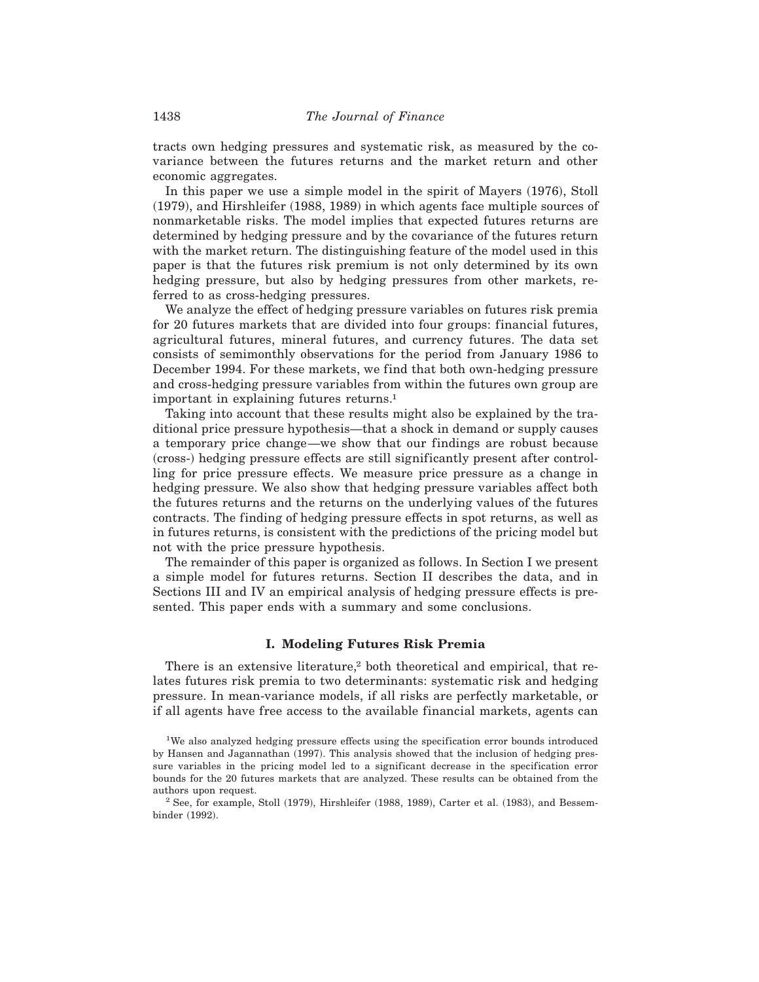tracts own hedging pressures and systematic risk, as measured by the covariance between the futures returns and the market return and other economic aggregates.

In this paper we use a simple model in the spirit of Mayers  $(1976)$ , Stoll  $(1979)$ , and Hirshleifer  $(1988, 1989)$  in which agents face multiple sources of nonmarketable risks. The model implies that expected futures returns are determined by hedging pressure and by the covariance of the futures return with the market return. The distinguishing feature of the model used in this paper is that the futures risk premium is not only determined by its own hedging pressure, but also by hedging pressures from other markets, referred to as cross-hedging pressures.

We analyze the effect of hedging pressure variables on futures risk premia for 20 futures markets that are divided into four groups: financial futures, agricultural futures, mineral futures, and currency futures. The data set consists of semimonthly observations for the period from January 1986 to December 1994. For these markets, we find that both own-hedging pressure and cross-hedging pressure variables from within the futures own group are important in explaining futures returns.1

Taking into account that these results might also be explained by the traditional price pressure hypothesis—that a shock in demand or supply causes a temporary price change—we show that our findings are robust because ~cross-! hedging pressure effects are still significantly present after controlling for price pressure effects. We measure price pressure as a change in hedging pressure. We also show that hedging pressure variables affect both the futures returns and the returns on the underlying values of the futures contracts. The finding of hedging pressure effects in spot returns, as well as in futures returns, is consistent with the predictions of the pricing model but not with the price pressure hypothesis.

The remainder of this paper is organized as follows. In Section I we present a simple model for futures returns. Section II describes the data, and in Sections III and IV an empirical analysis of hedging pressure effects is presented. This paper ends with a summary and some conclusions.

### **I. Modeling Futures Risk Premia**

There is an extensive literature,<sup>2</sup> both theoretical and empirical, that relates futures risk premia to two determinants: systematic risk and hedging pressure. In mean-variance models, if all risks are perfectly marketable, or if all agents have free access to the available financial markets, agents can

<sup>1</sup>We also analyzed hedging pressure effects using the specification error bounds introduced by Hansen and Jagannathan (1997). This analysis showed that the inclusion of hedging pressure variables in the pricing model led to a significant decrease in the specification error bounds for the 20 futures markets that are analyzed. These results can be obtained from the authors upon request.

 $2$  See, for example, Stoll (1979), Hirshleifer (1988, 1989), Carter et al. (1983), and Bessembinder (1992).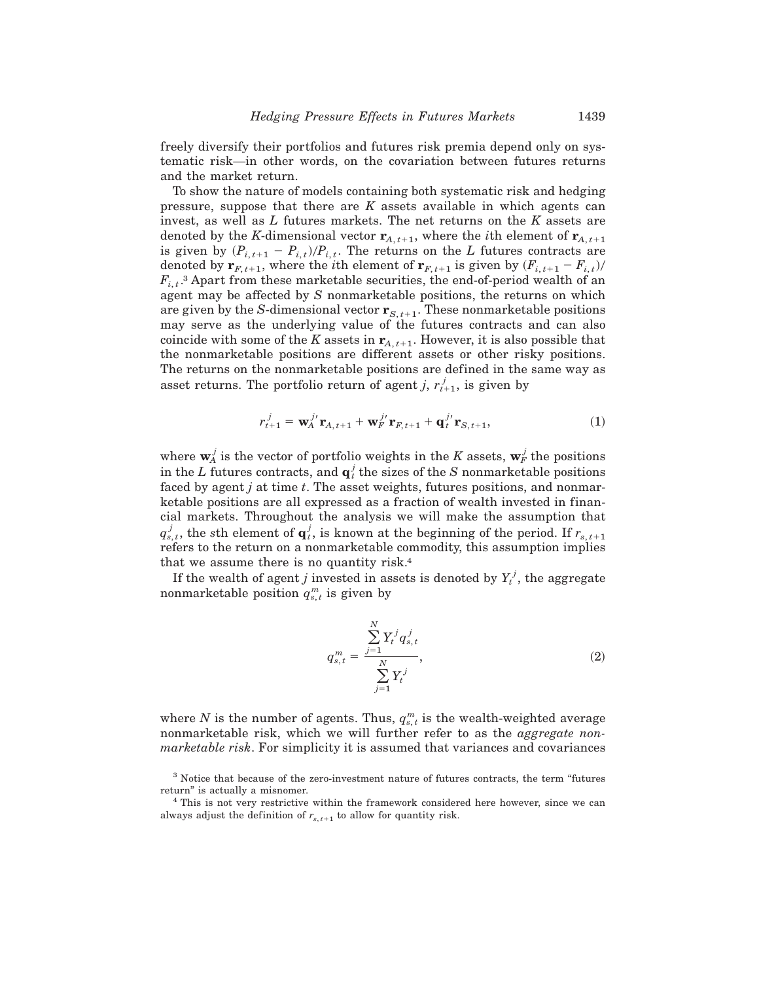freely diversify their portfolios and futures risk premia depend only on systematic risk—in other words, on the covariation between futures returns and the market return.

To show the nature of models containing both systematic risk and hedging pressure, suppose that there are *K* assets available in which agents can invest, as well as *L* futures markets. The net returns on the *K* assets are denoted by the *K*-dimensional vector  $\mathbf{r}_{A, t+1}$ , where the *i*th element of  $\mathbf{r}_{A, t+1}$ is given by  $(P_{i,t+1} - P_{i,t})/P_{i,t}$ . The returns on the *L* futures contracts are denoted by  $\mathbf{r}_{F, t+1}$ , where the *i*th element of  $\mathbf{r}_{F, t+1}$  is given by  $(F_{i, t+1} - F_{i, t})/$  $F_{i,\,t}$ .<sup>3</sup> Apart from these marketable securities, the end-of-period wealth of an agent may be affected by *S* nonmarketable positions, the returns on which are given by the *S*-dimensional vector  $\mathbf{r}_{S,t+1}$ . These nonmarketable positions may serve as the underlying value of the futures contracts and can also coincide with some of the *K* assets in  $\mathbf{r}_{A,t+1}$ . However, it is also possible that the nonmarketable positions are different assets or other risky positions. The returns on the nonmarketable positions are defined in the same way as asset returns. The portfolio return of agent *j*,  $r_{t+1}^j$ , is given by

$$
r_{t+1}^j = \mathbf{w}_A^{j'} \mathbf{r}_{A,t+1} + \mathbf{w}_F^{j'} \mathbf{r}_{F,t+1} + \mathbf{q}_t^{j'} \mathbf{r}_{S,t+1},
$$
(1)

where  $\mathbf{w}_A^j$  is the vector of portfolio weights in the *K* assets,  $\mathbf{w}_F^j$  the positions in the  $L$  futures contracts, and  $\mathbf{q}^j_t$  the sizes of the  $S$  nonmarketable positions faced by agent *j* at time *t*. The asset weights, futures positions, and nonmarketable positions are all expressed as a fraction of wealth invested in financial markets. Throughout the analysis we will make the assumption that  $q_{s,t}^j$ , the  $s$ th element of  $\mathbf{q}_t^j$ , is known at the beginning of the period. If  $r_{s,t+1}$ refers to the return on a nonmarketable commodity, this assumption implies that we assume there is no quantity risk.4

If the wealth of agent *j* invested in assets is denoted by  $Y_t^j$ , the aggregate nonmarketable position  $q_{s,t}^m$  is given by

$$
q_{s,t}^{m} = \frac{\sum_{j=1}^{N} Y_t^j q_{s,t}^j}{\sum_{j=1}^{N} Y_t^j},
$$
\n(2)

where  $N$  is the number of agents. Thus,  $q_{s,t}^m$  is the wealth-weighted average nonmarketable risk, which we will further refer to as the *aggregate nonmarketable risk*. For simplicity it is assumed that variances and covariances

<sup>3</sup> Notice that because of the zero-investment nature of futures contracts, the term "futures return" is actually a misnomer.

<sup>4</sup> This is not very restrictive within the framework considered here however, since we can always adjust the definition of  $r_{s,t+1}$  to allow for quantity risk.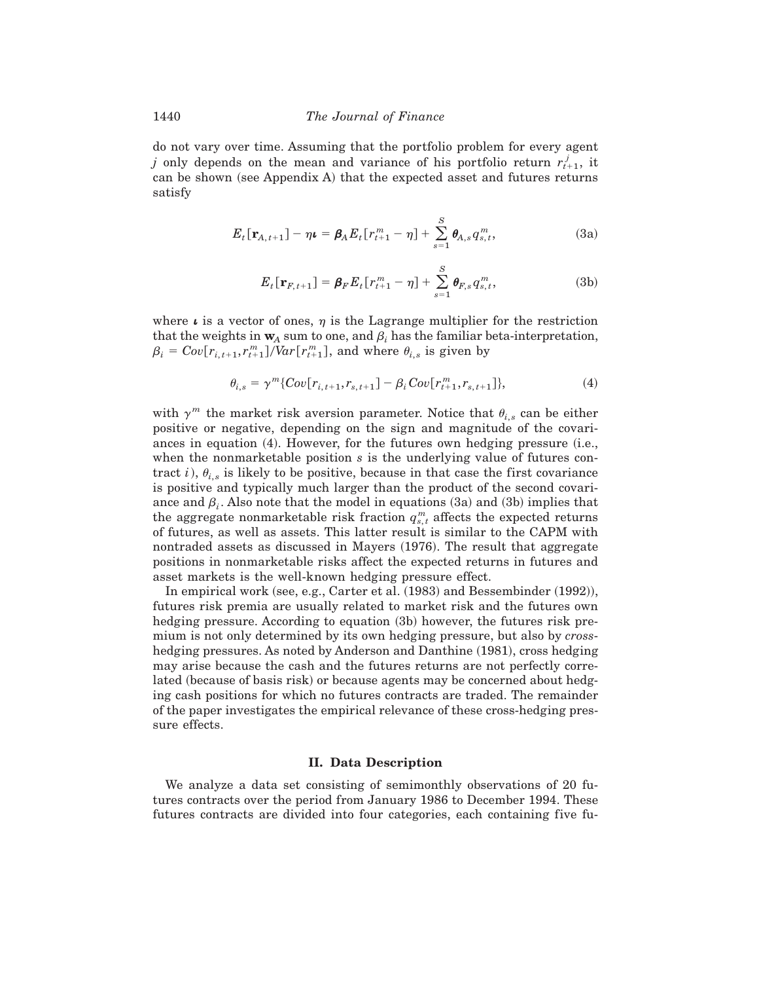do not vary over time. Assuming that the portfolio problem for every agent *j* only depends on the mean and variance of his portfolio return  $r_{t+1}^j$ , it can be shown (see Appendix A) that the expected asset and futures returns satisfy

$$
E_t[\mathbf{r}_{A,t+1}] - \eta \mathbf{v} = \boldsymbol{\beta}_A E_t[r_{t+1}^m - \eta] + \sum_{s=1}^S \boldsymbol{\theta}_{A,s} q_{s,t}^m,
$$
\n(3a)

$$
E_t[\mathbf{r}_{F,t+1}] = \boldsymbol{\beta}_F E_t[r_{t+1}^m - \eta] + \sum_{s=1}^S \boldsymbol{\theta}_{F,s} q_{s,t}^m,
$$
 (3b)

where  $\mu$  is a vector of ones,  $\eta$  is the Lagrange multiplier for the restriction that the weights in  $w_A$  sum to one, and  $\beta_i$  has the familiar beta-interpretation,  $\beta_i = Cov[r_{i,t+1}, r_{t+1}^m]/Var[r_{t+1}^m]$ , and where  $\theta_{i,s}$  is given by

$$
\theta_{i,s} = \gamma^m \{Cov[r_{i,t+1}, r_{s,t+1}] - \beta_i Cov[r_{t+1}^m, r_{s,t+1}]\},\tag{4}
$$

with  $\gamma^m$  the market risk aversion parameter. Notice that  $\theta_{i,s}$  can be either positive or negative, depending on the sign and magnitude of the covariances in equation  $(4)$ . However, for the futures own hedging pressure  $(i.e.,$ when the nonmarketable position *s* is the underlying value of futures contract *i*),  $\theta_{i,s}$  is likely to be positive, because in that case the first covariance is positive and typically much larger than the product of the second covariance and  $\beta_i$ . Also note that the model in equations  $(3a)$  and  $(3b)$  implies that the aggregate nonmarketable risk fraction  $q_{s,t}^m$  affects the expected returns of futures, as well as assets. This latter result is similar to the CAPM with nontraded assets as discussed in Mayers  $(1976)$ . The result that aggregate positions in nonmarketable risks affect the expected returns in futures and asset markets is the well-known hedging pressure effect.

In empirical work (see, e.g., Carter et al.  $(1983)$  and Bessembinder  $(1992)$ ), futures risk premia are usually related to market risk and the futures own hedging pressure. According to equation  $(3b)$  however, the futures risk premium is not only determined by its own hedging pressure, but also by *cross*hedging pressures. As noted by Anderson and Danthine (1981), cross hedging may arise because the cash and the futures returns are not perfectly correlated (because of basis risk) or because agents may be concerned about hedging cash positions for which no futures contracts are traded. The remainder of the paper investigates the empirical relevance of these cross-hedging pressure effects.

### **II. Data Description**

We analyze a data set consisting of semimonthly observations of 20 futures contracts over the period from January 1986 to December 1994. These futures contracts are divided into four categories, each containing five fu-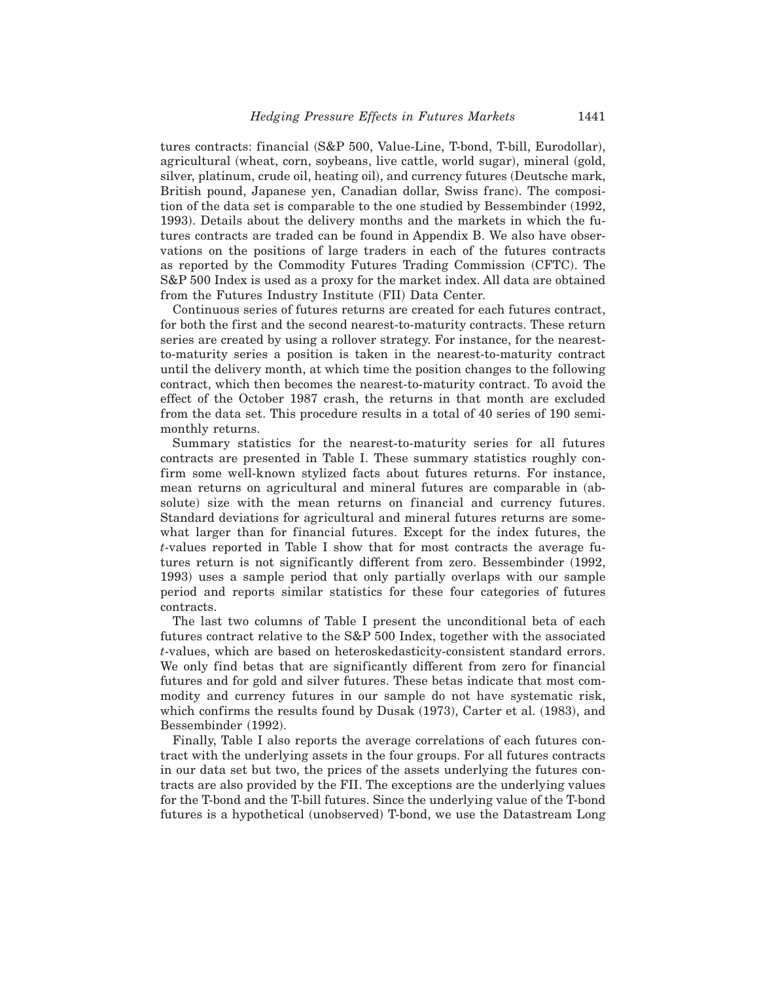tures contracts: financial  $(S&P 500, Value\text{-}Line, T\text{-}bond, T\text{-}bill, Eurodollar),$ agricultural (wheat, corn, soybeans, live cattle, world sugar), mineral (gold, silver, platinum, crude oil, heating oil), and currency futures (Deutsche mark, British pound, Japanese yen, Canadian dollar, Swiss franc). The composition of the data set is comparable to the one studied by Bessembinder (1992, 1993!. Details about the delivery months and the markets in which the futures contracts are traded can be found in Appendix B. We also have observations on the positions of large traders in each of the futures contracts as reported by the Commodity Futures Trading Commission (CFTC). The S&P 500 Index is used as a proxy for the market index. All data are obtained from the Futures Industry Institute (FII) Data Center.

Continuous series of futures returns are created for each futures contract, for both the first and the second nearest-to-maturity contracts. These return series are created by using a rollover strategy. For instance, for the nearestto-maturity series a position is taken in the nearest-to-maturity contract until the delivery month, at which time the position changes to the following contract, which then becomes the nearest-to-maturity contract. To avoid the effect of the October 1987 crash, the returns in that month are excluded from the data set. This procedure results in a total of 40 series of 190 semimonthly returns.

Summary statistics for the nearest-to-maturity series for all futures contracts are presented in Table I. These summary statistics roughly confirm some well-known stylized facts about futures returns. For instance, mean returns on agricultural and mineral futures are comparable in (absolute) size with the mean returns on financial and currency futures. Standard deviations for agricultural and mineral futures returns are somewhat larger than for financial futures. Except for the index futures, the *t*-values reported in Table I show that for most contracts the average futures return is not significantly different from zero. Bessembinder (1992, 1993) uses a sample period that only partially overlaps with our sample period and reports similar statistics for these four categories of futures contracts.

The last two columns of Table I present the unconditional beta of each futures contract relative to the S&P 500 Index, together with the associated *t*-values, which are based on heteroskedasticity-consistent standard errors. We only find betas that are significantly different from zero for financial futures and for gold and silver futures. These betas indicate that most commodity and currency futures in our sample do not have systematic risk, which confirms the results found by Dusak  $(1973)$ , Carter et al.  $(1983)$ , and Bessembinder (1992).

Finally, Table I also reports the average correlations of each futures contract with the underlying assets in the four groups. For all futures contracts in our data set but two, the prices of the assets underlying the futures contracts are also provided by the FII. The exceptions are the underlying values for the T-bond and the T-bill futures. Since the underlying value of the T-bond futures is a hypothetical (unobserved) T-bond, we use the Datastream Long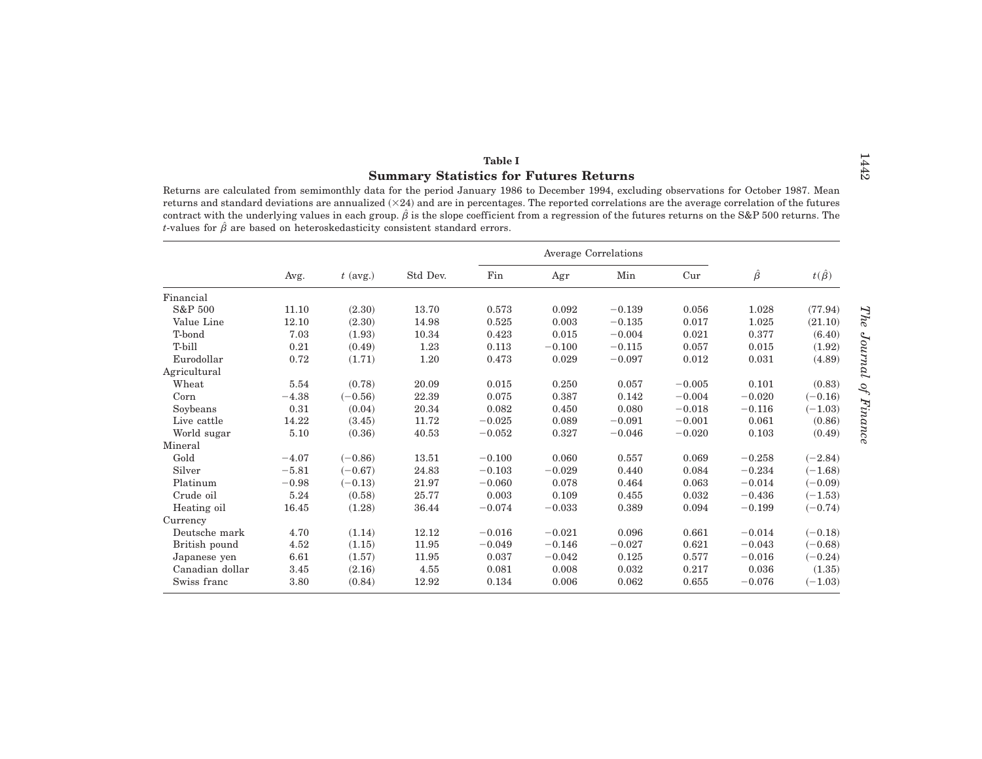### **Table I Summary Statistics for Futures Returns**

Returns are calculated from semimonthly data for the period January 1986 to December 1994, excluding observations for October 1987. Mean returns and standard deviations are annualized ( $\times 24$ ) and are in percentages. The reported correlations are the average correlation of the futures contract with the underlying values in each group.  $\hat{\beta}$  is the slope coefficient from a regression of the futures returns on the S&P 500 returns. The *t*-values for  $\hat{\beta}$  are based on heteroskedasticity consistent standard errors.

|                 |         |            |          |          | Average Correlations |          |          |               |                  |
|-----------------|---------|------------|----------|----------|----------------------|----------|----------|---------------|------------------|
|                 | Avg.    | $t$ (avg.) | Std Dev. | Fin      | Agr                  | Min      | Cur      | $\hat{\beta}$ | $t(\hat{\beta})$ |
| Financial       |         |            |          |          |                      |          |          |               |                  |
| S&P 500         | 11.10   | (2.30)     | 13.70    | 0.573    | 0.092                | $-0.139$ | 0.056    | 1.028         | (77.94)          |
| Value Line      | 12.10   | (2.30)     | 14.98    | 0.525    | 0.003                | $-0.135$ | 0.017    | 1.025         | (21.10)          |
| T-bond          | 7.03    | (1.93)     | 10.34    | 0.423    | 0.015                | $-0.004$ | 0.021    | 0.377         | (6.40)           |
| T-bill          | 0.21    | (0.49)     | 1.23     | 0.113    | $-0.100$             | $-0.115$ | 0.057    | 0.015         | (1.92)           |
| Eurodollar      | 0.72    | (1.71)     | 1.20     | 0.473    | 0.029                | $-0.097$ | 0.012    | 0.031         | (4.89)           |
| Agricultural    |         |            |          |          |                      |          |          |               |                  |
| Wheat           | 5.54    | (0.78)     | 20.09    | 0.015    | 0.250                | 0.057    | $-0.005$ | 0.101         | (0.83)           |
| Corn            | $-4.38$ | $(-0.56)$  | 22.39    | 0.075    | 0.387                | 0.142    | $-0.004$ | $-0.020$      | $(-0.16)$        |
| Soybeans        | 0.31    | (0.04)     | 20.34    | 0.082    | 0.450                | 0.080    | $-0.018$ | $-0.116$      | $(-1.03)$        |
| Live cattle     | 14.22   | (3.45)     | 11.72    | $-0.025$ | 0.089                | $-0.091$ | $-0.001$ | 0.061         | (0.86)           |
| World sugar     | 5.10    | (0.36)     | 40.53    | $-0.052$ | 0.327                | $-0.046$ | $-0.020$ | 0.103         | (0.49)           |
| Mineral         |         |            |          |          |                      |          |          |               |                  |
| Gold            | $-4.07$ | $(-0.86)$  | 13.51    | $-0.100$ | 0.060                | 0.557    | 0.069    | $-0.258$      | $(-2.84)$        |
| Silver          | $-5.81$ | $(-0.67)$  | 24.83    | $-0.103$ | $-0.029$             | 0.440    | 0.084    | $-0.234$      | $(-1.68)$        |
| Platinum        | $-0.98$ | $(-0.13)$  | 21.97    | $-0.060$ | 0.078                | 0.464    | 0.063    | $-0.014$      | $(-0.09)$        |
| Crude oil       | 5.24    | (0.58)     | 25.77    | 0.003    | 0.109                | 0.455    | 0.032    | $-0.436$      | $(-1.53)$        |
| Heating oil     | 16.45   | (1.28)     | 36.44    | $-0.074$ | $-0.033$             | 0.389    | 0.094    | $-0.199$      | $(-0.74)$        |
| Currency        |         |            |          |          |                      |          |          |               |                  |
| Deutsche mark   | 4.70    | (1.14)     | 12.12    | $-0.016$ | $-0.021$             | 0.096    | 0.661    | $-0.014$      | $(-0.18)$        |
| British pound   | 4.52    | (1.15)     | 11.95    | $-0.049$ | $-0.146$             | $-0.027$ | 0.621    | $-0.043$      | $(-0.68)$        |
| Japanese yen    | 6.61    | (1.57)     | 11.95    | 0.037    | $-0.042$             | 0.125    | 0.577    | $-0.016$      | $(-0.24)$        |
| Canadian dollar | 3.45    | (2.16)     | 4.55     | 0.081    | 0.008                | 0.032    | 0.217    | 0.036         | (1.35)           |
| Swiss franc     | 3.80    | (0.84)     | 12.92    | 0.134    | 0.006                | 0.062    | 0.655    | $-0.076$      | $(-1.03)$        |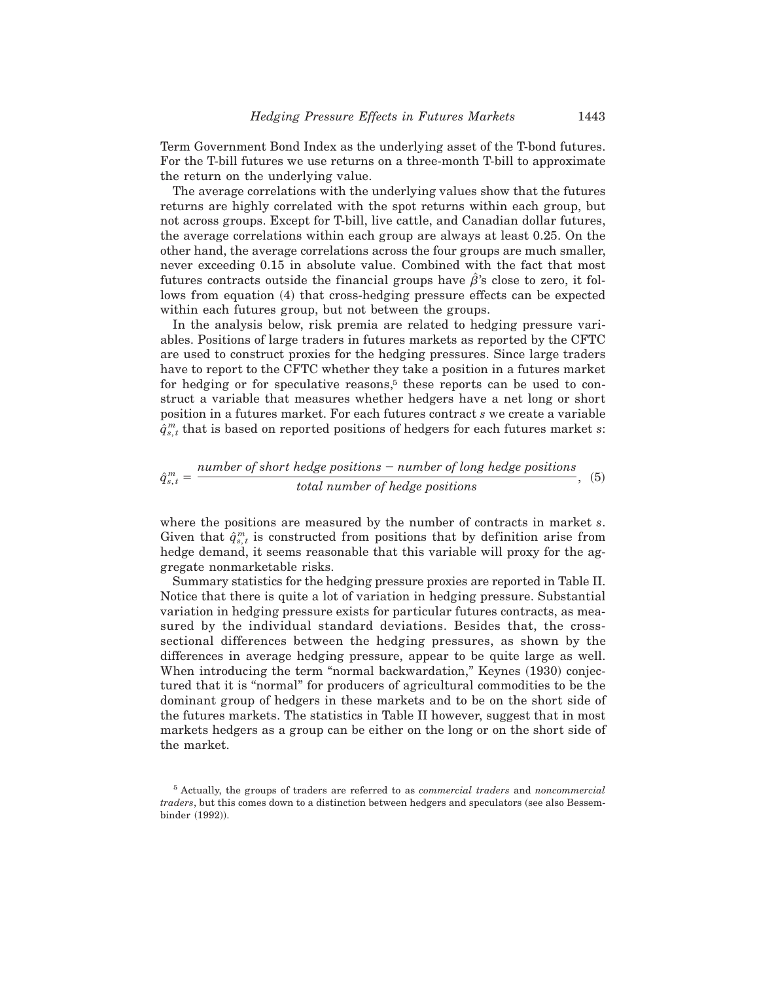Term Government Bond Index as the underlying asset of the T-bond futures. For the T-bill futures we use returns on a three-month T-bill to approximate the return on the underlying value.

The average correlations with the underlying values show that the futures returns are highly correlated with the spot returns within each group, but not across groups. Except for T-bill, live cattle, and Canadian dollar futures, the average correlations within each group are always at least 0.25. On the other hand, the average correlations across the four groups are much smaller, never exceeding 0.15 in absolute value. Combined with the fact that most futures contracts outside the financial groups have  $\hat{\beta}$ 's close to zero, it follows from equation (4) that cross-hedging pressure effects can be expected within each futures group, but not between the groups.

In the analysis below, risk premia are related to hedging pressure variables. Positions of large traders in futures markets as reported by the CFTC are used to construct proxies for the hedging pressures. Since large traders have to report to the CFTC whether they take a position in a futures market for hedging or for speculative reasons,<sup>5</sup> these reports can be used to construct a variable that measures whether hedgers have a net long or short position in a futures market. For each futures contract *s* we create a variable  $\hat{q}_{s,t}^m$  that is based on reported positions of hedgers for each futures market *s*:

$$
\hat{q}_{s,t}^{m} = \frac{number\ of\ short\ hedge\ positions - number\ of\ long\ hedge\ positions}{total\ number\ of\ hedge\ positions},
$$
 (5)

where the positions are measured by the number of contracts in market *s*. Given that  $\hat{q}_{s,t}^m$  is constructed from positions that by definition arise from hedge demand, it seems reasonable that this variable will proxy for the aggregate nonmarketable risks.

Summary statistics for the hedging pressure proxies are reported in Table II. Notice that there is quite a lot of variation in hedging pressure. Substantial variation in hedging pressure exists for particular futures contracts, as measured by the individual standard deviations. Besides that, the crosssectional differences between the hedging pressures, as shown by the differences in average hedging pressure, appear to be quite large as well. When introducing the term "normal backwardation," Keynes (1930) conjectured that it is "normal" for producers of agricultural commodities to be the dominant group of hedgers in these markets and to be on the short side of the futures markets. The statistics in Table II however, suggest that in most markets hedgers as a group can be either on the long or on the short side of the market.

<sup>5</sup> Actually, the groups of traders are referred to as *commercial traders* and *noncommercial traders*, but this comes down to a distinction between hedgers and speculators (see also Bessembinder (1992)).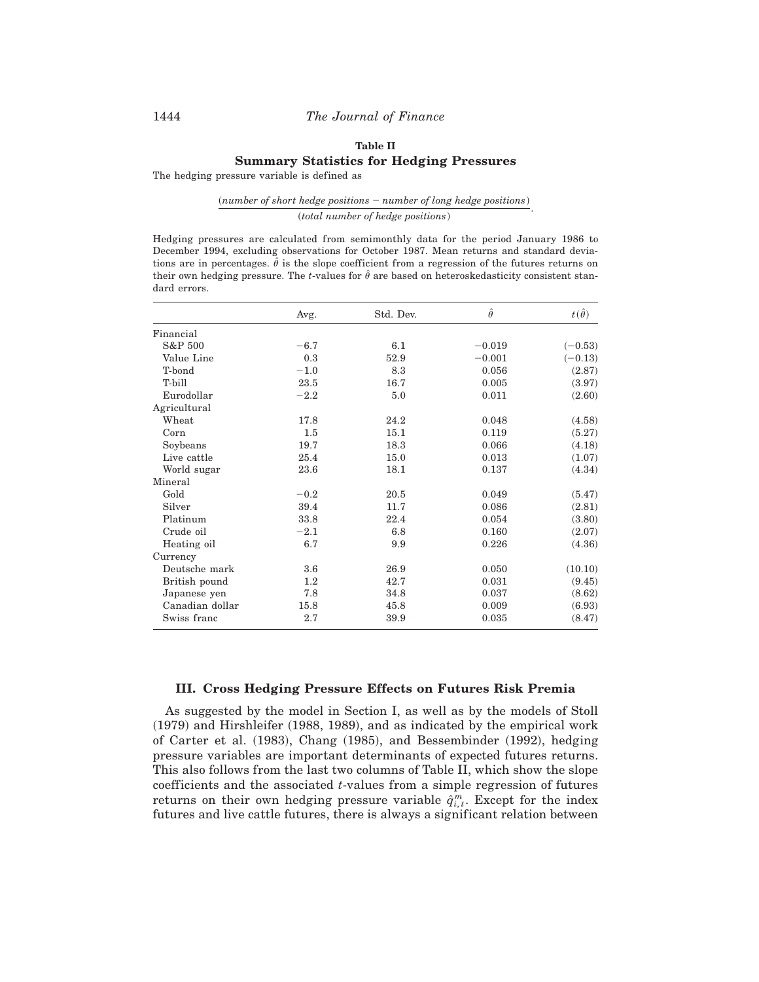### 1444 *The Journal of Finance*

#### **Table II**

#### **Summary Statistics for Hedging Pressures**

The hedging pressure variable is defined as

### ~*number of short hedge positions* 2 *number of long hedge positions*! <sup>~</sup>*total number of hedge positions*! .

Hedging pressures are calculated from semimonthly data for the period January 1986 to December 1994, excluding observations for October 1987. Mean returns and standard deviations are in percentages.  $\hat{\theta}$  is the slope coefficient from a regression of the futures returns on their own hedging pressure. The *t*-values for  $\hat{\theta}$  are based on heteroskedasticity consistent standard errors.

|                 | Avg.    | Std. Dev. | $\hat{\theta}$ | $t(\hat{\theta})$ |
|-----------------|---------|-----------|----------------|-------------------|
| Financial       |         |           |                |                   |
| S&P 500         | $-6.7$  | 6.1       | $-0.019$       | $(-0.53)$         |
| Value Line      | 0.3     | 52.9      | $-0.001$       | $(-0.13)$         |
| T-bond          | $-1.0$  | 8.3       | 0.056          | (2.87)            |
| T-bill          | 23.5    | 16.7      | 0.005          | (3.97)            |
| Eurodollar      | $-2.2$  | 5.0       | 0.011          | (2.60)            |
| Agricultural    |         |           |                |                   |
| Wheat           | 17.8    | 24.2      | 0.048          | (4.58)            |
| Corn            | $1.5\,$ | 15.1      | 0.119          | (5.27)            |
| Soybeans        | 19.7    | 18.3      | 0.066          | (4.18)            |
| Live cattle     | 25.4    | 15.0      | 0.013          | (1.07)            |
| World sugar     | 23.6    | 18.1      | 0.137          | (4.34)            |
| Mineral         |         |           |                |                   |
| Gold            | $-0.2$  | 20.5      | 0.049          | (5.47)            |
| Silver          | 39.4    | 11.7      | 0.086          | (2.81)            |
| Platinum        | 33.8    | 22.4      | 0.054          | (3.80)            |
| Crude oil       | $-2.1$  | 6.8       | 0.160          | (2.07)            |
| Heating oil     | 6.7     | 9.9       | 0.226          | (4.36)            |
| Currency        |         |           |                |                   |
| Deutsche mark   | 3.6     | 26.9      | 0.050          | (10.10)           |
| British pound   | $1.2\,$ | 42.7      | 0.031          | (9.45)            |
| Japanese yen    | 7.8     | 34.8      | 0.037          | (8.62)            |
| Canadian dollar | 15.8    | 45.8      | 0.009          | (6.93)            |
| Swiss franc     | 2.7     | 39.9      | 0.035          | (8.47)            |

### **III. Cross Hedging Pressure Effects on Futures Risk Premia**

As suggested by the model in Section I, as well as by the models of Stoll  $(1979)$  and Hirshleifer  $(1988, 1989)$ , and as indicated by the empirical work of Carter et al.  $(1983)$ , Chang  $(1985)$ , and Bessembinder  $(1992)$ , hedging pressure variables are important determinants of expected futures returns. This also follows from the last two columns of Table II, which show the slope coefficients and the associated *t*-values from a simple regression of futures returns on their own hedging pressure variable  $\hat{q}_{i,t}^m$ . Except for the index futures and live cattle futures, there is always a significant relation between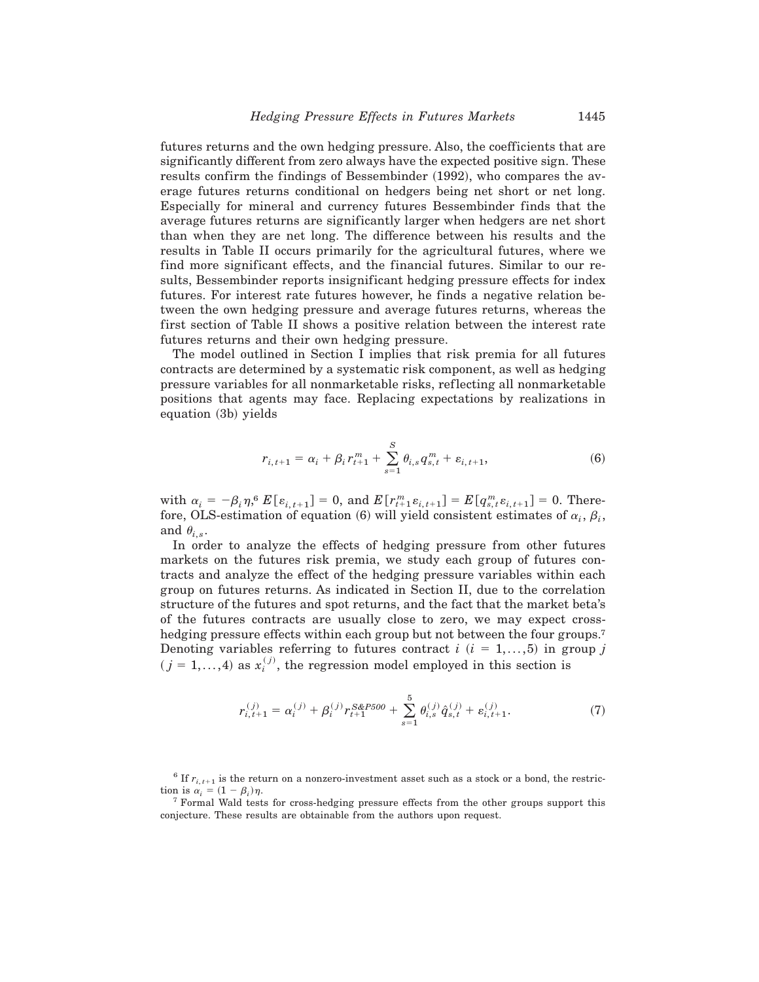futures returns and the own hedging pressure. Also, the coefficients that are significantly different from zero always have the expected positive sign. These results confirm the findings of Bessembinder  $(1992)$ , who compares the average futures returns conditional on hedgers being net short or net long. Especially for mineral and currency futures Bessembinder finds that the average futures returns are significantly larger when hedgers are net short than when they are net long. The difference between his results and the results in Table II occurs primarily for the agricultural futures, where we find more significant effects, and the financial futures. Similar to our results, Bessembinder reports insignificant hedging pressure effects for index futures. For interest rate futures however, he finds a negative relation between the own hedging pressure and average futures returns, whereas the first section of Table II shows a positive relation between the interest rate futures returns and their own hedging pressure.

The model outlined in Section I implies that risk premia for all futures contracts are determined by a systematic risk component, as well as hedging pressure variables for all nonmarketable risks, reflecting all nonmarketable positions that agents may face. Replacing expectations by realizations in equation (3b) yields

$$
r_{i,t+1} = \alpha_i + \beta_i r_{t+1}^m + \sum_{s=1}^S \theta_{i,s} q_{s,t}^m + \varepsilon_{i,t+1},
$$
\n(6)

with  $\alpha_i = -\beta_i \eta, ^6E[\varepsilon_{i, t+1}] = 0$ , and  $E[r_{t+1}^m \varepsilon_{i, t+1}] = E[q_{s, t}^m \varepsilon_{i, t+1}] = 0$ . Therefore, OLS-estimation of equation  $(6)$  will yield consistent estimates of  $\alpha_i$ ,  $\beta_i$ , and  $\theta_i$ ,

In order to analyze the effects of hedging pressure from other futures markets on the futures risk premia, we study each group of futures contracts and analyze the effect of the hedging pressure variables within each group on futures returns. As indicated in Section II, due to the correlation structure of the futures and spot returns, and the fact that the market beta's of the futures contracts are usually close to zero, we may expect crosshedging pressure effects within each group but not between the four groups.<sup>7</sup> Denoting variables referring to futures contract  $i$   $(i = 1, \ldots, 5)$  in group *j*  $(j = 1, ..., 4)$  as  $x_i^{(j)}$ , the regression model employed in this section is

$$
r_{i,t+1}^{(j)} = \alpha_i^{(j)} + \beta_i^{(j)} r_{t+1}^{S\&P500} + \sum_{s=1}^5 \theta_{i,s}^{(j)} \hat{q}_{s,t}^{(j)} + \varepsilon_{i,t+1}^{(j)}.
$$
 (7)

<sup>&</sup>lt;sup>6</sup> If  $r_{i, t+1}$  is the return on a nonzero-investment asset such as a stock or a bond, the restriction is  $\alpha_i = (1 - \beta_i)\eta$ .

<sup>&</sup>lt;sup>7</sup> Formal Wald tests for cross-hedging pressure effects from the other groups support this conjecture. These results are obtainable from the authors upon request.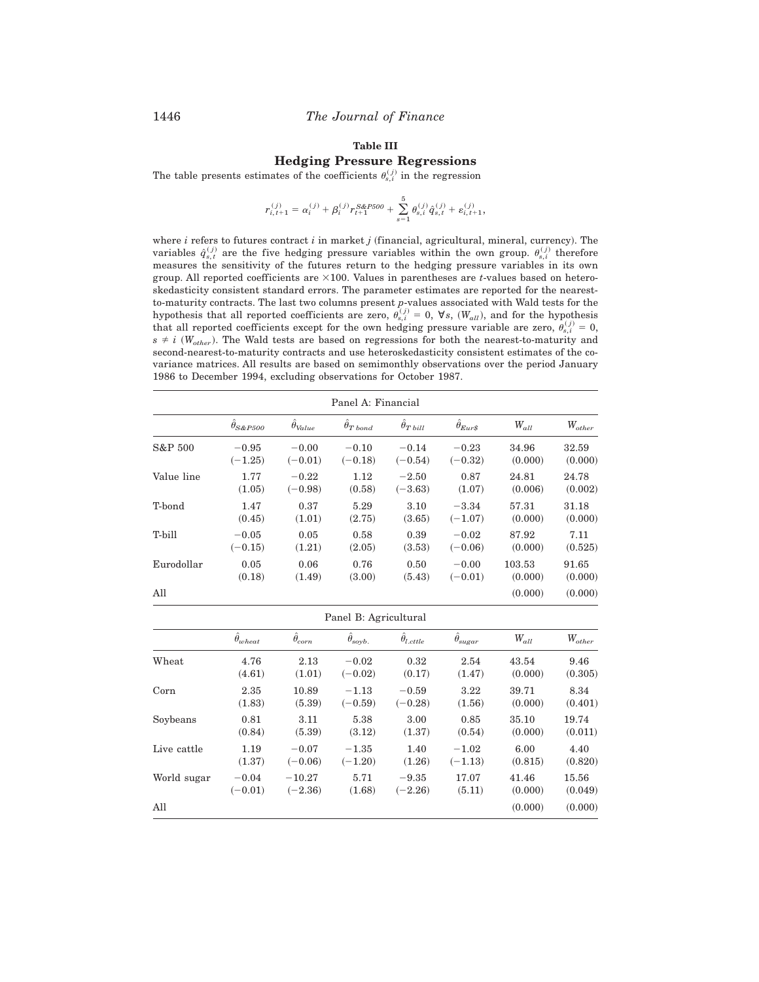# **Table III Hedging Pressure Regressions**

The table presents estimates of the coefficients  $\theta_{s,i}^{(j)}$  in the regression

$$
r_{i,t+1}^{(j)} = \alpha_i^{(j)} + \beta_i^{(j)} r_{t+1}^{S\&P500} + \sum_{s=1}^5 \theta_{s,i}^{(j)} \hat{q}_{s,t}^{(j)} + \varepsilon_{i,t+1}^{(j)},
$$

where *i* refers to futures contract *i* in market *j* (financial, agricultural, mineral, currency). The variables  $\hat{q}_{s,t}^{(j)}$  are the five hedging pressure variables within the own group.  $\theta_{s,i}^{(j)}$  therefore measures the sensitivity of the futures return to the hedging pressure variables in its own group. All reported coefficients are  $\times$ 100. Values in parentheses are *t*-values based on heteroskedasticity consistent standard errors. The parameter estimates are reported for the nearestto-maturity contracts. The last two columns present *p*-values associated with Wald tests for the hypothesis that all reported coefficients are zero,  $\theta_{s,i}^{(j)} = 0$ ,  $\forall s$ ,  $(W_{all})$ , and for the hypothesis that all reported coefficients except for the own hedging pressure variable are zero,  $\hat{\theta}_{s,i}^{(j)} = 0$  $s \neq i$  ( $W_{other}$ ). The Wald tests are based on regressions for both the nearest-to-maturity and second-nearest-to-maturity contracts and use heteroskedasticity consistent estimates of the covariance matrices. All results are based on semimonthly observations over the period January 1986 to December 1994, excluding observations for October 1987.

| Panel A: Financial |                    |                  |                            |                            |                 |           |                   |  |
|--------------------|--------------------|------------------|----------------------------|----------------------------|-----------------|-----------|-------------------|--|
|                    | $\theta_{S\&P500}$ | $\theta_{Value}$ | $\hat{\theta}_{T \: bond}$ | $\hat{\theta}_{T \, bill}$ | $\theta_{Eurs}$ | $W_{all}$ | $W_{\sigma ther}$ |  |
| S&P 500            | $-0.95$            | $-0.00$          | $-0.10$                    | $-0.14$                    | $-0.23$         | 34.96     | 32.59             |  |
|                    | $(-1.25)$          | $(-0.01)$        | $(-0.18)$                  | $(-0.54)$                  | $(-0.32)$       | (0.000)   | (0.000)           |  |
| Value line         | 1.77               | $-0.22$          | 1.12                       | $-2.50$                    | 0.87            | 24.81     | 24.78             |  |
|                    | (1.05)             | $(-0.98)$        | (0.58)                     | $(-3.63)$                  | (1.07)          | (0.006)   | (0.002)           |  |
| T-bond             | 1.47               | 0.37             | 5.29                       | 3.10                       | $-3.34$         | 57.31     | 31.18             |  |
|                    | (0.45)             | (1.01)           | (2.75)                     | (3.65)                     | $(-1.07)$       | (0.000)   | (0.000)           |  |
| T-bill             | $-0.05$            | 0.05             | 0.58                       | 0.39                       | $-0.02$         | 87.92     | 7.11              |  |
|                    | $(-0.15)$          | (1.21)           | (2.05)                     | (3.53)                     | $(-0.06)$       | (0.000)   | (0.525)           |  |
| Eurodollar         | 0.05               | 0.06             | 0.76                       | 0.50                       | $-0.00$         | 103.53    | 91.65             |  |
|                    | (0.18)             | (1.49)           | (3.00)                     | (5.43)                     | $(-0.01)$       | (0.000)   | (0.000)           |  |
| All                |                    |                  |                            |                            |                 | (0.000)   | (0.000)           |  |

|  | Panel B: Agricultural |  |
|--|-----------------------|--|
|  |                       |  |

|             | $\ddot{\theta}_{wheat}$ | $\ddot{\theta}_{corn}$ | $\theta_{soyb.}$ | $\hat{\theta}_{l.cttle}$ | $\ddot{\theta}_{sugar}$ | $W_{all}$ | $W_{other}$ |
|-------------|-------------------------|------------------------|------------------|--------------------------|-------------------------|-----------|-------------|
| Wheat       | 4.76                    | 2.13                   | $-0.02$          | 0.32                     | 2.54                    | 43.54     | 9.46        |
|             | (4.61)                  | (1.01)                 | $(-0.02)$        | (0.17)                   | (1.47)                  | (0.000)   | (0.305)     |
| Corn        | 2.35                    | 10.89                  | $-1.13$          | $-0.59$                  | 3.22                    | 39.71     | 8.34        |
|             | (1.83)                  | (5.39)                 | $(-0.59)$        | $(-0.28)$                | (1.56)                  | (0.000)   | (0.401)     |
| Soybeans    | 0.81                    | 3.11                   | 5.38             | 3.00                     | 0.85                    | 35.10     | 19.74       |
|             | (0.84)                  | (5.39)                 | (3.12)           | (1.37)                   | (0.54)                  | (0.000)   | (0.011)     |
| Live cattle | 1.19                    | $-0.07$                | $-1.35$          | 1.40                     | $-1.02$                 | 6.00      | 4.40        |
|             | (1.37)                  | $(-0.06)$              | $(-1.20)$        | (1.26)                   | $(-1.13)$               | (0.815)   | (0.820)     |
| World sugar | $-0.04$                 | $-10.27$               | 5.71             | $-9.35$                  | 17.07                   | 41.46     | 15.56       |
|             | $(-0.01)$               | $(-2.36)$              | (1.68)           | $(-2.26)$                | (5.11)                  | (0.000)   | (0.049)     |
| All         |                         |                        |                  |                          |                         | (0.000)   | (0.000)     |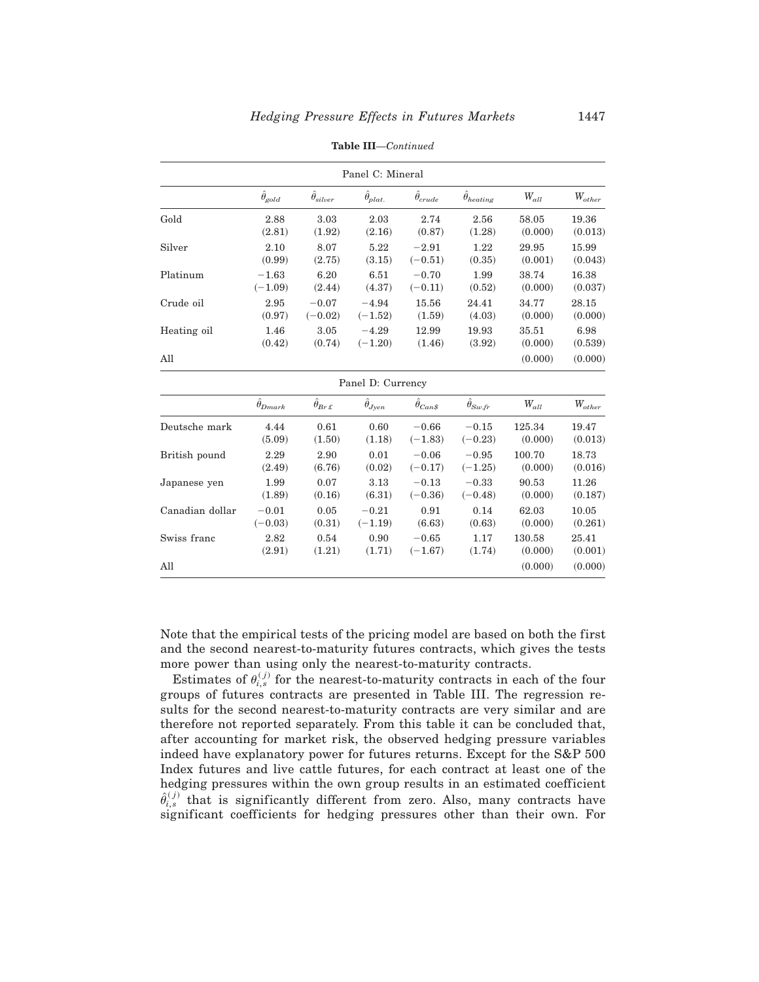|                 |                        |                            | Panel C: Mineral       |                        |                          |           |          |
|-----------------|------------------------|----------------------------|------------------------|------------------------|--------------------------|-----------|----------|
|                 | $\hat{\theta}_{gold}$  | $\hat{\theta}_{silver}$    | $\hat{\theta}_{plat.}$ | $\hat{\theta}_{crude}$ | $\hat{\theta}_{heating}$ | $W_{all}$ | $W_{\!}$ |
| Gold            | 2.88                   | 3.03                       | 2.03                   | 2.74                   | 2.56                     | 58.05     | 19.36    |
|                 | (2.81)                 | (1.92)                     | (2.16)                 | (0.87)                 | (1.28)                   | (0.000)   | (0.013)  |
| Silver          | 2.10                   | 8.07                       | 5.22                   | $-2.91$                | 1.22                     | 29.95     | 15.99    |
|                 | (0.99)                 | (2.75)                     | (3.15)                 | $(-0.51)$              | (0.35)                   | (0.001)   | (0.043)  |
| Platinum        | $-1.63$                | 6.20                       | 6.51                   | $-0.70$                | 1.99                     | 38.74     | 16.38    |
|                 | $(-1.09)$              | (2.44)                     | (4.37)                 | $(-0.11)$              | (0.52)                   | (0.000)   | (0.037)  |
| Crude oil       | 2.95                   | $-0.07$                    | $-4.94$                | 15.56                  | 24.41                    | 34.77     | 28.15    |
|                 | (0.97)                 | $(-0.02)$                  | $(-1.52)$              | (1.59)                 | (4.03)                   | (0.000)   | (0.000)  |
| Heating oil     | 1.46                   | 3.05                       | $-4.29$                | 12.99                  | 19.93                    | 35.51     | 6.98     |
|                 | (0.42)                 | (0.74)                     | $(-1.20)$              | (1.46)                 | (3.92)                   | (0.000)   | (0.539)  |
| All             |                        |                            |                        |                        |                          | (0.000)   | (0.000)  |
|                 |                        |                            | Panel D: Currency      |                        |                          |           |          |
|                 | $\hat{\theta}_{Dmark}$ | $\hat{\theta}_{Br\pounds}$ | $\hat{\theta}_{Jyen}$  | $\hat{\theta}_{Can\$   | $\hat{\theta}_{Sw.fr}$   | $W_{all}$ | $W_{\!}$ |
| Deutsche mark   | 4.44                   | 0.61                       | 0.60                   | $-0.66$                | $-0.15$                  | 125.34    | 19.47    |
|                 | (5.09)                 | (1.50)                     | (1.18)                 | $(-1.83)$              | $(-0.23)$                | (0.000)   | (0.013)  |
| British pound   | 2.29                   | 2.90                       | 0.01                   | $-0.06$                | $-0.95$                  | 100.70    | 18.73    |
|                 | (2.49)                 | (6.76)                     | (0.02)                 | $(-0.17)$              | $(-1.25)$                | (0.000)   | (0.016)  |
| Japanese yen    | 1.99                   | 0.07                       | 3.13                   | $-0.13$                | $-0.33$                  | 90.53     | 11.26    |
|                 | (1.89)                 | (0.16)                     | (6.31)                 | $(-0.36)$              | $(-0.48)$                | (0.000)   | (0.187)  |
| Canadian dollar | $-0.01$                | 0.05                       | $-0.21$                | 0.91                   | 0.14                     | 62.03     | 10.05    |
|                 | $(-0.03)$              | (0.31)                     | $(-1.19)$              | (6.63)                 | (0.63)                   | (0.000)   | (0.261)  |
| Swiss franc     | 2.82                   | 0.54                       | 0.90                   | $-0.65$                | 1.17                     | 130.58    | 25.41    |
|                 | (2.91)                 | (1.21)                     | (1.71)                 | $(-1.67)$              | (1.74)                   | (0.000)   | (0.001)  |
| All             |                        |                            |                        |                        |                          | (0.000)   | (0.000)  |

**Table III***—Continued*

Note that the empirical tests of the pricing model are based on both the first and the second nearest-to-maturity futures contracts, which gives the tests more power than using only the nearest-to-maturity contracts.

Estimates of  $\theta_{i,s}^{(j)}$  for the nearest-to-maturity contracts in each of the four groups of futures contracts are presented in Table III. The regression results for the second nearest-to-maturity contracts are very similar and are therefore not reported separately. From this table it can be concluded that, after accounting for market risk, the observed hedging pressure variables indeed have explanatory power for futures returns. Except for the S&P 500 Index futures and live cattle futures, for each contract at least one of the hedging pressures within the own group results in an estimated coefficient  $\hat{\theta}_{i,s}^{(j)}$  that is significantly different from zero. Also, many contracts have significant coefficients for hedging pressures other than their own. For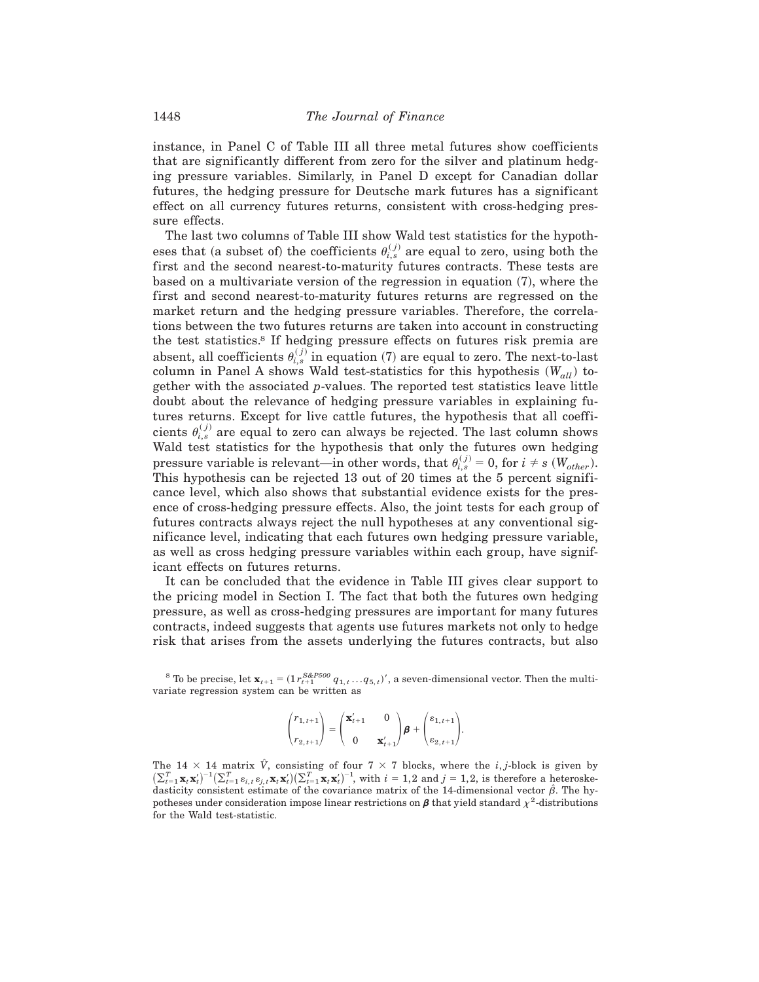instance, in Panel C of Table III all three metal futures show coefficients that are significantly different from zero for the silver and platinum hedging pressure variables. Similarly, in Panel D except for Canadian dollar futures, the hedging pressure for Deutsche mark futures has a significant effect on all currency futures returns, consistent with cross-hedging pressure effects.

The last two columns of Table III show Wald test statistics for the hypotheses that (a subset of) the coefficients  $\theta_{i,s}^{(j)}$  are equal to zero, using both the first and the second nearest-to-maturity futures contracts. These tests are based on a multivariate version of the regression in equation  $(7)$ , where the first and second nearest-to-maturity futures returns are regressed on the market return and the hedging pressure variables. Therefore, the correlations between the two futures returns are taken into account in constructing the test statistics.8 If hedging pressure effects on futures risk premia are absent, all coefficients  $\theta_{i,s}^{(j)}$  in equation (7) are equal to zero. The next-to-last column in Panel A shows Wald test-statistics for this hypothesis  $(W_{all})$  together with the associated *p*-values. The reported test statistics leave little doubt about the relevance of hedging pressure variables in explaining futures returns. Except for live cattle futures, the hypothesis that all coefficients  $\theta_{i,s}^{(j)}$  are equal to zero can always be rejected. The last column shows Wald test statistics for the hypothesis that only the futures own hedging pressure variable is relevant—in other words, that  $\theta_{i,s}^{(j)} = 0$ , for  $i \neq s$  ( $W_{other}$ ). This hypothesis can be rejected 13 out of 20 times at the 5 percent significance level, which also shows that substantial evidence exists for the presence of cross-hedging pressure effects. Also, the joint tests for each group of futures contracts always reject the null hypotheses at any conventional significance level, indicating that each futures own hedging pressure variable, as well as cross hedging pressure variables within each group, have significant effects on futures returns.

It can be concluded that the evidence in Table III gives clear support to the pricing model in Section I. The fact that both the futures own hedging pressure, as well as cross-hedging pressures are important for many futures contracts, indeed suggests that agents use futures markets not only to hedge risk that arises from the assets underlying the futures contracts, but also

<sup>8</sup> To be precise, let  $\mathbf{x}_{t+1} = (1 \cdot r_{t+1}^{S\&P500} q_{1,t} \dots q_{5,t})'$ , a seven-dimensional vector. Then the multivariate regression system can be written as

$$
\binom{r_{1,t+1}}{r_{2,t+1}} = \binom{\mathbf{x}'_{t+1}}{0\qquad \mathbf{x}'_{t+1}} \pmb{\beta} + \binom{\varepsilon_{1,t+1}}{\varepsilon_{2,t+1}}.
$$

The 14  $\times$  14 matrix *V*, consisting of four 7  $\times$  7 blocks, where the *i*, *j*-block is given by  $\left(\sum_{t=1}^T \mathbf{x}_t \mathbf{x}_t\right)^{-1} \left(\sum_{t=1}^T \varepsilon_{i,t} \varepsilon_{j,t} \mathbf{x}_t \mathbf{x}_t\right) \left(\sum_{t=1}^T \mathbf{x}_t \mathbf{x}_t\right)^{-1}$ , with  $i = 1, 2$  and  $j = 1, 2$ , is therefore a heteroskedasticity consistent estimate of the covariance matrix of the 14-dimensional vector  $\hat{\beta}$ . The hypotheses under consideration impose linear restrictions on  $\beta$  that yield standard  $\chi^2$ -distributions for the Wald test-statistic.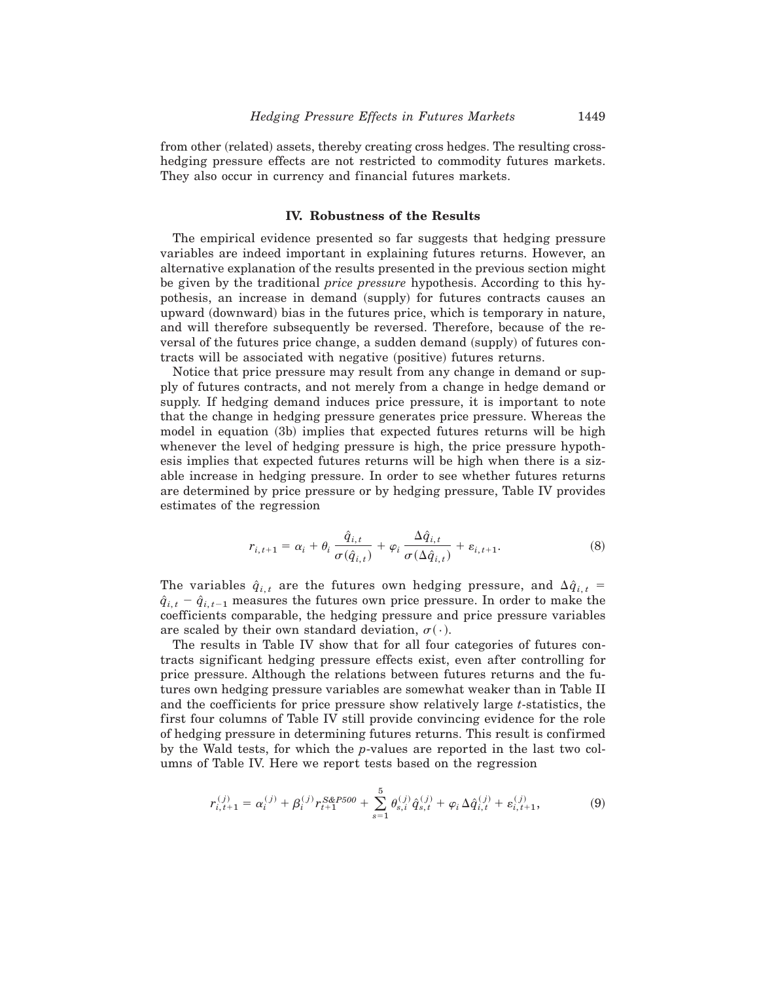from other (related) assets, thereby creating cross hedges. The resulting crosshedging pressure effects are not restricted to commodity futures markets. They also occur in currency and financial futures markets.

### **IV. Robustness of the Results**

The empirical evidence presented so far suggests that hedging pressure variables are indeed important in explaining futures returns. However, an alternative explanation of the results presented in the previous section might be given by the traditional *price pressure* hypothesis. According to this hypothesis, an increase in demand (supply) for futures contracts causes an upward (downward) bias in the futures price, which is temporary in nature, and will therefore subsequently be reversed. Therefore, because of the reversal of the futures price change, a sudden demand  $(supply)$  of futures contracts will be associated with negative (positive) futures returns.

Notice that price pressure may result from any change in demand or supply of futures contracts, and not merely from a change in hedge demand or supply. If hedging demand induces price pressure, it is important to note that the change in hedging pressure generates price pressure. Whereas the model in equation  $(3b)$  implies that expected futures returns will be high whenever the level of hedging pressure is high, the price pressure hypothesis implies that expected futures returns will be high when there is a sizable increase in hedging pressure. In order to see whether futures returns are determined by price pressure or by hedging pressure, Table IV provides estimates of the regression

$$
r_{i,t+1} = \alpha_i + \theta_i \frac{\hat{q}_{i,t}}{\sigma(\hat{q}_{i,t})} + \varphi_i \frac{\Delta \hat{q}_{i,t}}{\sigma(\Delta \hat{q}_{i,t})} + \varepsilon_{i,t+1}.
$$
 (8)

The variables  $\hat{q}_{i,t}$  are the futures own hedging pressure, and  $\Delta \hat{q}_{i,t}$  =  $\hat{q}_{i,t} - \hat{q}_{i,t-1}$  measures the futures own price pressure. In order to make the coefficients comparable, the hedging pressure and price pressure variables are scaled by their own standard deviation,  $\sigma(\cdot)$ .

The results in Table IV show that for all four categories of futures contracts significant hedging pressure effects exist, even after controlling for price pressure. Although the relations between futures returns and the futures own hedging pressure variables are somewhat weaker than in Table II and the coefficients for price pressure show relatively large *t*-statistics, the first four columns of Table IV still provide convincing evidence for the role of hedging pressure in determining futures returns. This result is confirmed by the Wald tests, for which the *p*-values are reported in the last two columns of Table IV. Here we report tests based on the regression

$$
r_{i,t+1}^{(j)} = \alpha_i^{(j)} + \beta_i^{(j)} r_{t+1}^{S\&P500} + \sum_{s=1}^5 \theta_{s,i}^{(j)} \hat{q}_{s,t}^{(j)} + \varphi_i \Delta \hat{q}_{i,t}^{(j)} + \varepsilon_{i,t+1}^{(j)},
$$
(9)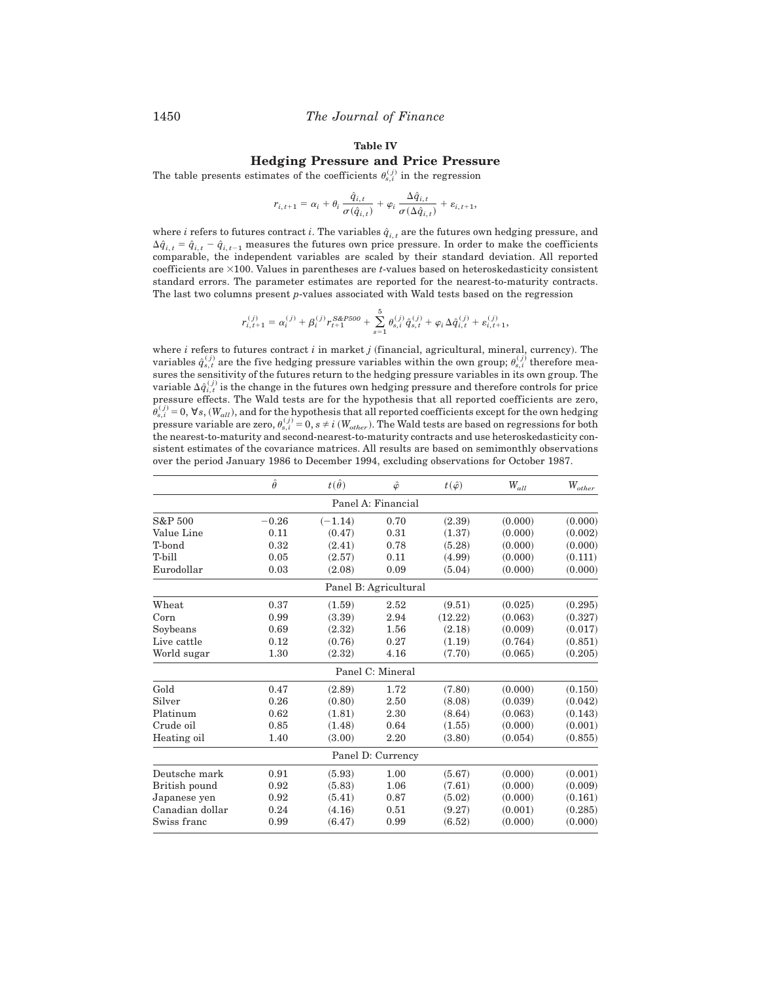### **Table IV**

# **Hedging Pressure and Price Pressure**

The table presents estimates of the coefficients  $\theta_{s,i}^{(j)}$  in the regression

$$
r_{i,t+1} = \alpha_i + \theta_i \frac{\hat{q}_{i,t}}{\sigma(\hat{q}_{i,t})} + \varphi_i \frac{\Delta \hat{q}_{i,t}}{\sigma(\Delta \hat{q}_{i,t})} + \varepsilon_{i,t+1},
$$

where *i* refers to futures contract *i*. The variables  $\hat{q}_{i,t}$  are the futures own hedging pressure, and  $\Delta \hat{q}_{i,t} = \hat{q}_{i,t} - \hat{q}_{i,t-1}$  measures the futures own price pressure. In order to make the coefficients comparable, the independent variables are scaled by their standard deviation. All reported coefficients are 3100. Values in parentheses are *t*-values based on heteroskedasticity consistent standard errors. The parameter estimates are reported for the nearest-to-maturity contracts. The last two columns present *p*-values associated with Wald tests based on the regression

$$
r_{i,t+1}^{(j)} = \alpha_i^{(j)} + \beta_i^{(j)} r_{t+1}^{S\&P500} + \sum_{s=1}^5 \theta_{s,i}^{(j)} \hat{q}_{s,t}^{(j)} + \varphi_i \Delta \hat{q}_{i,t}^{(j)} + \varepsilon_{i,t+1}^{(j)},
$$

where  $i$  refers to futures contract  $i$  in market  $j$  (financial, agricultural, mineral, currency). The variables  $\hat{q}_{s,t}^{(j)}$  are the five hedging pressure variables within the own group;  $\theta_{s,i}^{(j)}$  therefore measures the sensitivity of the futures return to the hedging pressure variables in its own group. The variable  $\Delta \hat{q}^{(j)}_{i,t}$  is the change in the futures own hedging pressure and therefore controls for price pressure effects. The Wald tests are for the hypothesis that all reported coefficients are zero,  $\hat{\theta}_{s,i}^{(j)}=0$ ,  $\forall s$ ,  $(W_{all})$ , and for the hypothesis that all reported coefficients except for the own hedging pressure variable are zero,  $\theta_{s,i}^{(j)} = 0$ ,  $s \neq i$  ( $W_{other}$ ). The Wald tests are based on regressions for both the nearest-to-maturity and second-nearest-to-maturity contracts and use heteroskedasticity consistent estimates of the covariance matrices. All results are based on semimonthly observations over the period January 1986 to December 1994, excluding observations for October 1987.

|                 | $\hat{\theta}$ | $t(\hat{\theta})$ | $\hat{\varphi}$       | $t(\hat{\varphi})$ | $W_{all}$ | $W_{\sigma ther}$ |
|-----------------|----------------|-------------------|-----------------------|--------------------|-----------|-------------------|
|                 |                |                   | Panel A: Financial    |                    |           |                   |
| S&P 500         | $-0.26$        | $(-1.14)$         | 0.70                  | (2.39)             | (0.000)   | (0.000)           |
| Value Line      | 0.11           | (0.47)            | 0.31                  | (1.37)             | (0.000)   | (0.002)           |
| T-bond          | 0.32           | (2.41)            | 0.78                  | (5.28)             | (0.000)   | (0.000)           |
| T-bill          | 0.05           | (2.57)            | 0.11                  | (4.99)             | (0.000)   | (0.111)           |
| Eurodollar      | 0.03           | (2.08)            | 0.09                  | (5.04)             | (0.000)   | (0.000)           |
|                 |                |                   | Panel B: Agricultural |                    |           |                   |
| Wheat           | 0.37           | (1.59)            | 2.52                  | (9.51)             | (0.025)   | (0.295)           |
| Corn            | 0.99           | (3.39)            | 2.94                  | (12.22)            | (0.063)   | (0.327)           |
| Soybeans        | 0.69           | (2.32)            | 1.56                  | (2.18)             | (0.009)   | (0.017)           |
| Live cattle     | 0.12           | (0.76)            | 0.27                  | (1.19)             | (0.764)   | (0.851)           |
| World sugar     | 1.30           | (2.32)            | 4.16                  | (7.70)             | (0.065)   | (0.205)           |
|                 |                |                   | Panel C: Mineral      |                    |           |                   |
| Gold            | 0.47           | (2.89)            | 1.72                  | (7.80)             | (0.000)   | (0.150)           |
| Silver          | 0.26           | (0.80)            | 2.50                  | (8.08)             | (0.039)   | (0.042)           |
| Platinum        | 0.62           | (1.81)            | 2.30                  | (8.64)             | (0.063)   | (0.143)           |
| Crude oil       | 0.85           | (1.48)            | 0.64                  | (1.55)             | (0.000)   | (0.001)           |
| Heating oil     | 1.40           | (3.00)            | 2.20                  | (3.80)             | (0.054)   | (0.855)           |
|                 |                |                   | Panel D: Currency     |                    |           |                   |
| Deutsche mark   | 0.91           | (5.93)            | 1.00                  | (5.67)             | (0.000)   | (0.001)           |
| British pound   | 0.92           | (5.83)            | 1.06                  | (7.61)             | (0.000)   | (0.009)           |
| Japanese ven    | 0.92           | (5.41)            | 0.87                  | (5.02)             | (0.000)   | (0.161)           |
| Canadian dollar | 0.24           | (4.16)            | 0.51                  | (9.27)             | (0.001)   | (0.285)           |
| Swiss franc     | 0.99           | (6.47)            | 0.99                  | (6.52)             | (0.000)   | (0.000)           |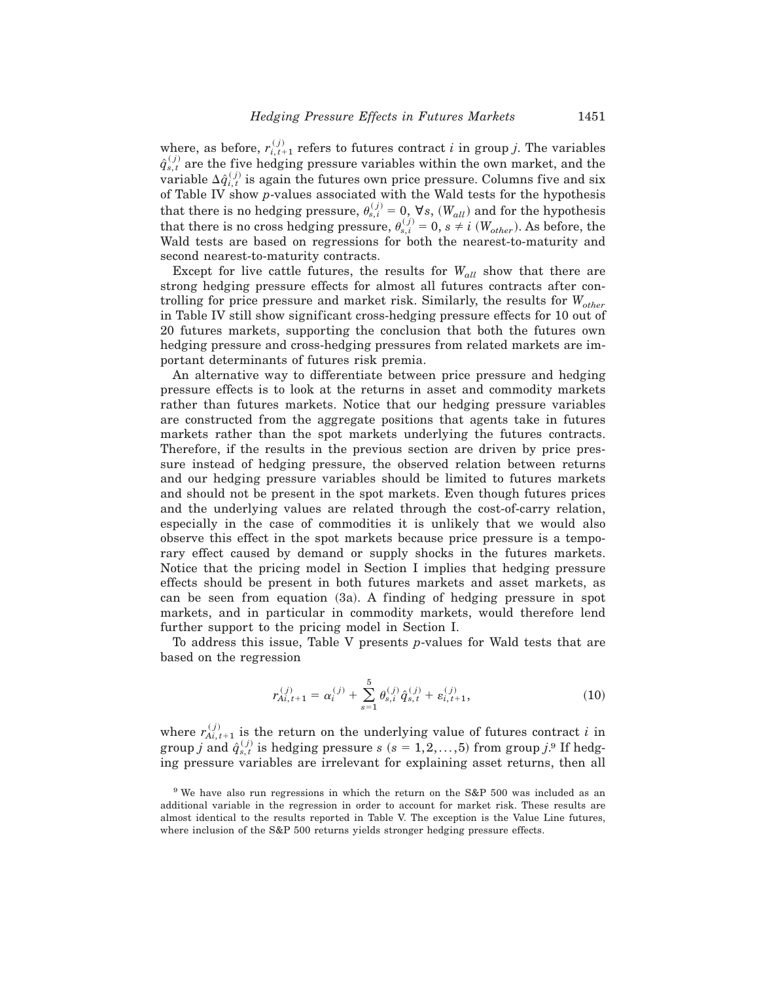where, as before,  $r_{i,t+1}^{(j)}$  refers to futures contract *i* in group *j*. The variables  $\hat{q}_{s,t}^{(j)}$  are the five hedging pressure variables within the own market, and the variable  $\Delta \hat{q}^{(j)}_{i,t}$  is again the futures own price pressure. Columns five and six of Table IV show *p*-values associated with the Wald tests for the hypothesis that there is no hedging pressure,  $\theta_{s,i}^{(j)} = 0$ ,  $\forall s, (W_{all})$  and for the hypothesis that there is no cross hedging pressure,  $\theta_{s,i}^{(j)} = 0$ ,  $s \neq i$  ( $W_{other}$ ). As before, the Wald tests are based on regressions for both the nearest-to-maturity and second nearest-to-maturity contracts.

Except for live cattle futures, the results for  $W_{all}$  show that there are strong hedging pressure effects for almost all futures contracts after controlling for price pressure and market risk. Similarly, the results for *Wother* in Table IV still show significant cross-hedging pressure effects for 10 out of 20 futures markets, supporting the conclusion that both the futures own hedging pressure and cross-hedging pressures from related markets are important determinants of futures risk premia.

An alternative way to differentiate between price pressure and hedging pressure effects is to look at the returns in asset and commodity markets rather than futures markets. Notice that our hedging pressure variables are constructed from the aggregate positions that agents take in futures markets rather than the spot markets underlying the futures contracts. Therefore, if the results in the previous section are driven by price pressure instead of hedging pressure, the observed relation between returns and our hedging pressure variables should be limited to futures markets and should not be present in the spot markets. Even though futures prices and the underlying values are related through the cost-of-carry relation, especially in the case of commodities it is unlikely that we would also observe this effect in the spot markets because price pressure is a temporary effect caused by demand or supply shocks in the futures markets. Notice that the pricing model in Section I implies that hedging pressure effects should be present in both futures markets and asset markets, as can be seen from equation  $(3a)$ . A finding of hedging pressure in spot markets, and in particular in commodity markets, would therefore lend further support to the pricing model in Section I.

To address this issue, Table V presents *p*-values for Wald tests that are based on the regression

$$
r_{Ai, t+1}^{(j)} = \alpha_i^{(j)} + \sum_{s=1}^{5} \theta_{s,i}^{(j)} \hat{q}_{s,t}^{(j)} + \varepsilon_{i,t+1}^{(j)}, \qquad (10)
$$

where  $r_{Ai, t+1}^{(j)}$  is the return on the underlying value of futures contract *i* in group *j* and  $\hat{q}_{s,t}^{(j)}$  is hedging pressure  $s$   $(s = 1,2,...,5)$  from group *j*.<sup>9</sup> If hedging pressure variables are irrelevant for explaining asset returns, then all

<sup>9</sup> We have also run regressions in which the return on the S&P 500 was included as an additional variable in the regression in order to account for market risk. These results are almost identical to the results reported in Table V. The exception is the Value Line futures, where inclusion of the S&P 500 returns yields stronger hedging pressure effects.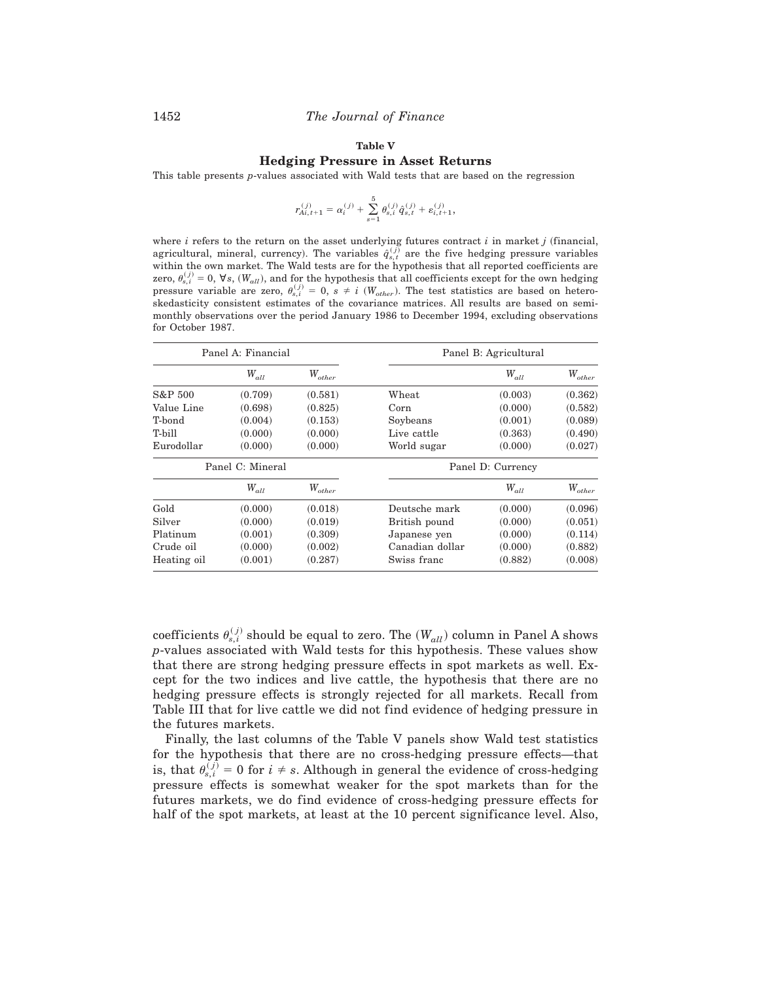### **Table V Hedging Pressure in Asset Returns**

This table presents *p*-values associated with Wald tests that are based on the regression

$$
r_{Ai, t+1}^{(j)} = \alpha_i^{(j)} + \sum_{s=1}^{5} \theta_{s,i}^{(j)} \hat{q}_{s,t}^{(j)} + \varepsilon_{i,t+1}^{(j)},
$$

where  $i$  refers to the return on the asset underlying futures contract  $i$  in market  $j$  (financial, agricultural, mineral, currency). The variables  $\hat{q}_{s,t}^{(j)}$  are the five hedging pressure variables within the own market. The Wald tests are for the hypothesis that all reported coefficients are zero,  $\theta_{s,i}^{(j)} = 0$ ,  $\forall s, (W_{all})$ , and for the hypothesis that all coefficients except for the own hedging pressure variable are zero,  $\theta_{s,i}^{(j)} = 0$ ,  $s \neq i$  ( $W_{other}$ ). The test statistics are based on heteroskedasticity consistent estimates of the covariance matrices. All results are based on semimonthly observations over the period January 1986 to December 1994, excluding observations for October 1987.

| Panel A: Financial |                  |                   | Panel B: Agricultural |                   |                   |  |
|--------------------|------------------|-------------------|-----------------------|-------------------|-------------------|--|
|                    | $W_{all}$        | $W_{other}$       |                       | $W_{all}$         | $W_{\sigma ther}$ |  |
| S&P 500            | (0.709)          | (0.581)           | Wheat                 | (0.003)           | (0.362)           |  |
| Value Line         | (0.698)          | (0.825)           | Corn                  | (0.000)           | (0.582)           |  |
| T-bond             | (0.004)          | (0.153)           | Soybeans              | (0.001)           | (0.089)           |  |
| T-bill             | (0.000)          | (0.000)           | Live cattle           | (0.363)           | (0.490)           |  |
| Eurodollar         | (0.000)          | (0.000)           | World sugar           | (0.000)           | (0.027)           |  |
|                    | Panel C: Mineral |                   |                       | Panel D: Currency |                   |  |
|                    | $W_{all}$        | $W_{\sigma ther}$ |                       | $W_{all}$         | $W_{\sigma ther}$ |  |
| Gold               | (0.000)          | (0.018)           | Deutsche mark         | (0.000)           | (0.096)           |  |
| Silver             | (0.000)          | (0.019)           | British pound         | (0.000)           | (0.051)           |  |
| Platinum           | (0.001)          | (0.309)           | Japanese ven          | (0.000)           | (0.114)           |  |
| Crude oil          | (0.000)          | (0.002)           | Canadian dollar       | (0.000)           | (0.882)           |  |
| Heating oil        | (0.001)          | (0.287)           | Swiss franc           | (0.882)           | (0.008)           |  |

coefficients  $\theta_{s,i}^{(j)}$  should be equal to zero. The  $(W_{all})$  column in Panel A shows *p*-values associated with Wald tests for this hypothesis. These values show that there are strong hedging pressure effects in spot markets as well. Except for the two indices and live cattle, the hypothesis that there are no hedging pressure effects is strongly rejected for all markets. Recall from Table III that for live cattle we did not find evidence of hedging pressure in the futures markets.

Finally, the last columns of the Table V panels show Wald test statistics for the hypothesis that there are no cross-hedging pressure effects—that is, that  $\theta_{s,i}^{(j)} = 0$  for  $i \neq s$ . Although in general the evidence of cross-hedging pressure effects is somewhat weaker for the spot markets than for the futures markets, we do find evidence of cross-hedging pressure effects for half of the spot markets, at least at the 10 percent significance level. Also,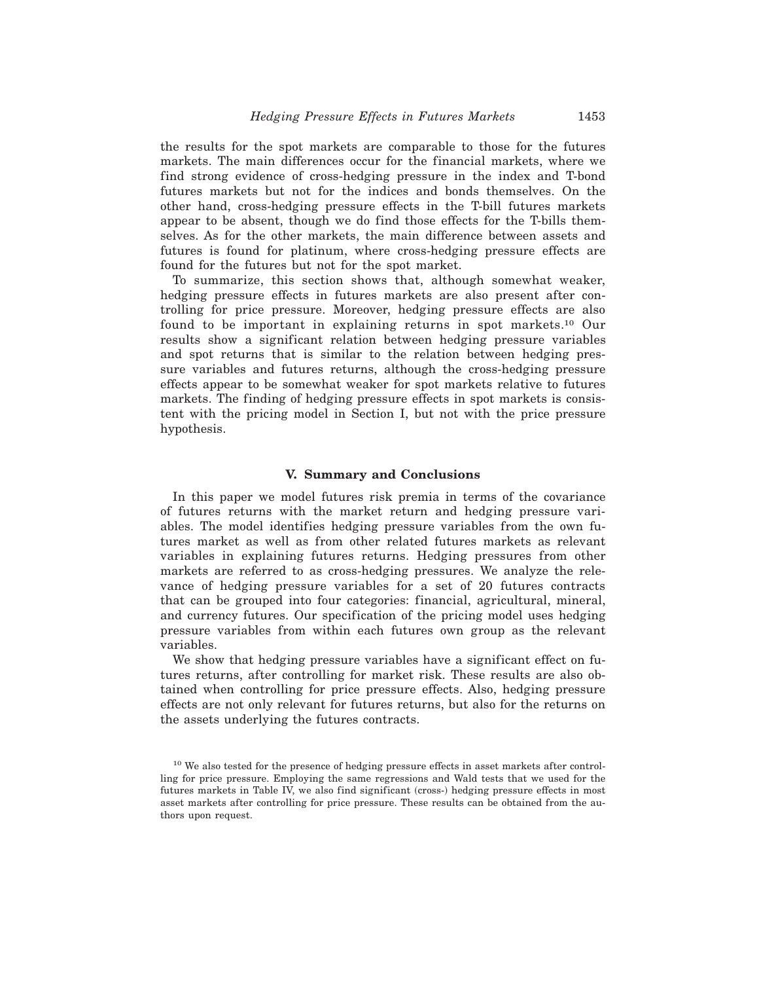the results for the spot markets are comparable to those for the futures markets. The main differences occur for the financial markets, where we find strong evidence of cross-hedging pressure in the index and T-bond futures markets but not for the indices and bonds themselves. On the other hand, cross-hedging pressure effects in the T-bill futures markets appear to be absent, though we do find those effects for the T-bills themselves. As for the other markets, the main difference between assets and futures is found for platinum, where cross-hedging pressure effects are found for the futures but not for the spot market.

To summarize, this section shows that, although somewhat weaker, hedging pressure effects in futures markets are also present after controlling for price pressure. Moreover, hedging pressure effects are also found to be important in explaining returns in spot markets.10 Our results show a significant relation between hedging pressure variables and spot returns that is similar to the relation between hedging pressure variables and futures returns, although the cross-hedging pressure effects appear to be somewhat weaker for spot markets relative to futures markets. The finding of hedging pressure effects in spot markets is consistent with the pricing model in Section I, but not with the price pressure hypothesis.

### **V. Summary and Conclusions**

In this paper we model futures risk premia in terms of the covariance of futures returns with the market return and hedging pressure variables. The model identifies hedging pressure variables from the own futures market as well as from other related futures markets as relevant variables in explaining futures returns. Hedging pressures from other markets are referred to as cross-hedging pressures. We analyze the relevance of hedging pressure variables for a set of 20 futures contracts that can be grouped into four categories: financial, agricultural, mineral, and currency futures. Our specification of the pricing model uses hedging pressure variables from within each futures own group as the relevant variables.

We show that hedging pressure variables have a significant effect on futures returns, after controlling for market risk. These results are also obtained when controlling for price pressure effects. Also, hedging pressure effects are not only relevant for futures returns, but also for the returns on the assets underlying the futures contracts.

<sup>10</sup> We also tested for the presence of hedging pressure effects in asset markets after controlling for price pressure. Employing the same regressions and Wald tests that we used for the futures markets in Table IV, we also find significant (cross-) hedging pressure effects in most asset markets after controlling for price pressure. These results can be obtained from the authors upon request.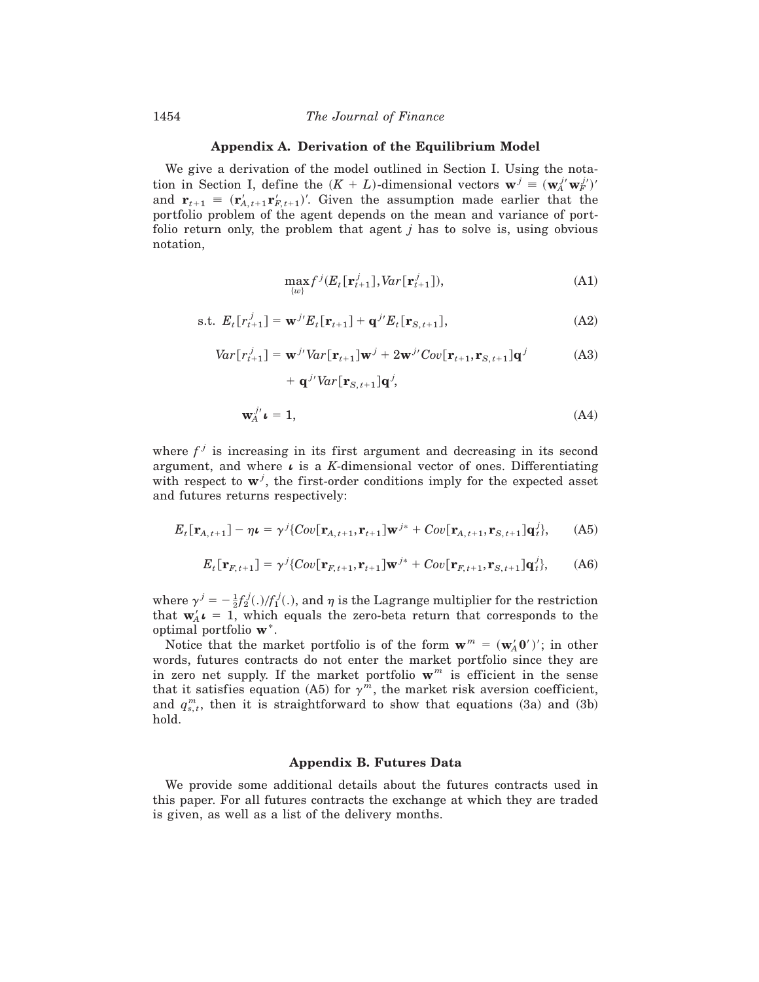#### **Appendix A. Derivation of the Equilibrium Model**

We give a derivation of the model outlined in Section I. Using the notation in Section I, define the  $(K + L)$ -dimensional vectors  $\mathbf{w}^j \equiv (\mathbf{w}^{j'}_A \mathbf{w}^{j'}_F)$ and  $\mathbf{r}_{t+1} = (\mathbf{r}'_{A, t+1} \mathbf{r}'_{F, t+1})'$ . Given the assumption made earlier that the portfolio problem of the agent depends on the mean and variance of portfolio return only, the problem that agent *j* has to solve is, using obvious notation,

$$
\max_{\{w\}} f^j(E_t[\mathbf{r}_{t+1}^j], Var[\mathbf{r}_{t+1}^j]),\tag{A1}
$$

$$
\text{s.t. } E_t[r_{t+1}^j] = \mathbf{w}^{j'} E_t[\mathbf{r}_{t+1}] + \mathbf{q}^{j'} E_t[\mathbf{r}_{S,t+1}], \tag{A2}
$$

$$
Var[r_{t+1}^j] = \mathbf{w}^{j}Var[\mathbf{r}_{t+1}]\mathbf{w}^j + 2\mathbf{w}^{j}Cov[\mathbf{r}_{t+1}, \mathbf{r}_{S, t+1}]\mathbf{q}^j
$$
(A3)

$$
+ \mathbf{q}^{j}Var[\mathbf{r}_{S,t+1}]\mathbf{q}^{j},
$$

$$
\mathbf{w}_A^{j'} \mathbf{\iota} = 1, \tag{A4}
$$

where  $f^j$  is increasing in its first argument and decreasing in its second argument, and where  $\iota$  is a *K*-dimensional vector of ones. Differentiating with respect to  $\mathbf{w}^j$ , the first-order conditions imply for the expected asset and futures returns respectively:

$$
E_t[\mathbf{r}_{A,t+1}] - \eta \mathbf{u} = \gamma^{j} \{Cov[\mathbf{r}_{A,t+1}, \mathbf{r}_{t+1}]\mathbf{w}^{j*} + Cov[\mathbf{r}_{A,t+1}, \mathbf{r}_{S,t+1}]\mathbf{q}_t^{j}\},\qquad(A5)
$$

$$
E_t[\mathbf{r}_{F,t+1}] = \gamma^j \{Cov[\mathbf{r}_{F,t+1}, \mathbf{r}_{t+1}]\mathbf{w}^{j*} + Cov[\mathbf{r}_{F,t+1}, \mathbf{r}_{S,t+1}]\mathbf{q}_t^j\},\qquad(A6)
$$

where  $\gamma^{j} = -\frac{1}{2} f_{2}^{j}(.) / f_{1}^{j}(.)$ , and  $\eta$  is the Lagrange multiplier for the restriction that  $w'_4$   $\iota$  = 1, which equals the zero-beta return that corresponds to the optimal portfolio **w**\* .

Notice that the market portfolio is of the form  $\mathbf{w}^m = (\mathbf{w}_A' \mathbf{0}')$ ; in other words, futures contracts do not enter the market portfolio since they are in zero net supply. If the market portfolio  $\mathbf{w}^m$  is efficient in the sense that it satisfies equation (A5) for  $\gamma^m$ , the market risk aversion coefficient, and  $q_{s,t}^m$ , then it is straightforward to show that equations  $(3a)$  and  $(3b)$ hold.

#### **Appendix B. Futures Data**

We provide some additional details about the futures contracts used in this paper. For all futures contracts the exchange at which they are traded is given, as well as a list of the delivery months.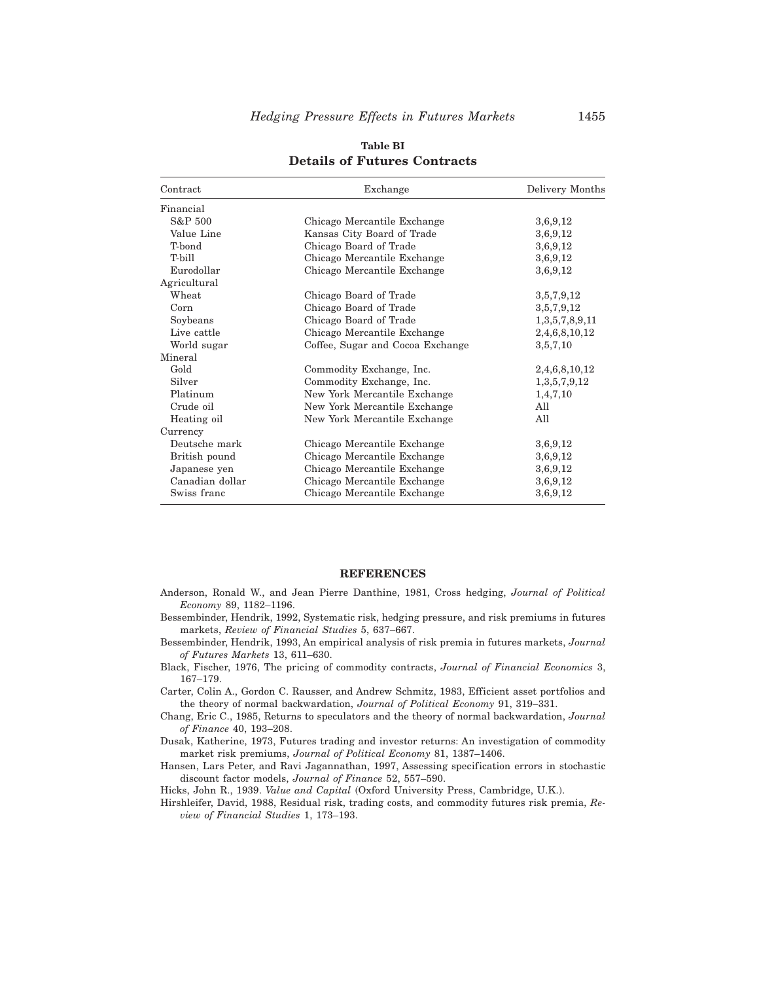| Contract        | Exchange                         | Delivery Months   |
|-----------------|----------------------------------|-------------------|
| Financial       |                                  |                   |
| S&P 500         | Chicago Mercantile Exchange      | 3,6,9,12          |
| Value Line      | Kansas City Board of Trade       | 3,6,9,12          |
| T-bond          | Chicago Board of Trade           | 3,6,9,12          |
| T-bill          | Chicago Mercantile Exchange      | 3,6,9,12          |
| Eurodollar      | Chicago Mercantile Exchange      | 3,6,9,12          |
| Agricultural    |                                  |                   |
| Wheat           | Chicago Board of Trade           | 3,5,7,9,12        |
| Corn            | Chicago Board of Trade           | 3,5,7,9,12        |
| Soybeans        | Chicago Board of Trade           | 1,3,5,7,8,9,11    |
| Live cattle     | Chicago Mercantile Exchange      | 2,4,6,8,10,12     |
| World sugar     | Coffee, Sugar and Cocoa Exchange | 3,5,7,10          |
| Mineral         |                                  |                   |
| Gold            | Commodity Exchange, Inc.         | 2,4,6,8,10,12     |
| Silver          | Commodity Exchange, Inc.         | 1, 3, 5, 7, 9, 12 |
| Platinum        | New York Mercantile Exchange     | 1,4,7,10          |
| Crude oil       | New York Mercantile Exchange     | All               |
| Heating oil     | New York Mercantile Exchange     | All               |
| Currency        |                                  |                   |
| Deutsche mark   | Chicago Mercantile Exchange      | 3,6,9,12          |
| British pound   | Chicago Mercantile Exchange      | 3,6,9,12          |
| Japanese yen    | Chicago Mercantile Exchange      | 3,6,9,12          |
| Canadian dollar | Chicago Mercantile Exchange      | 3,6,9,12          |
| Swiss franc     | Chicago Mercantile Exchange      | 3,6,9,12          |

## **Table BI Details of Futures Contracts**

#### **REFERENCES**

- Anderson, Ronald W., and Jean Pierre Danthine, 1981, Cross hedging, *Journal of Political Economy* 89, 1182–1196.
- Bessembinder, Hendrik, 1992, Systematic risk, hedging pressure, and risk premiums in futures markets, *Review of Financial Studies* 5, 637–667.
- Bessembinder, Hendrik, 1993, An empirical analysis of risk premia in futures markets, *Journal of Futures Markets* 13, 611–630.
- Black, Fischer, 1976, The pricing of commodity contracts, *Journal of Financial Economics* 3, 167–179.

Carter, Colin A., Gordon C. Rausser, and Andrew Schmitz, 1983, Efficient asset portfolios and the theory of normal backwardation, *Journal of Political Economy* 91, 319–331.

- Chang, Eric C., 1985, Returns to speculators and the theory of normal backwardation, *Journal of Finance* 40, 193–208.
- Dusak, Katherine, 1973, Futures trading and investor returns: An investigation of commodity market risk premiums, *Journal of Political Economy* 81, 1387–1406.
- Hansen, Lars Peter, and Ravi Jagannathan, 1997, Assessing specification errors in stochastic discount factor models, *Journal of Finance* 52, 557–590.

Hicks, John R., 1939. *Value and Capital* (Oxford University Press, Cambridge, U.K.).

Hirshleifer, David, 1988, Residual risk, trading costs, and commodity futures risk premia, *Review of Financial Studies* 1, 173–193.